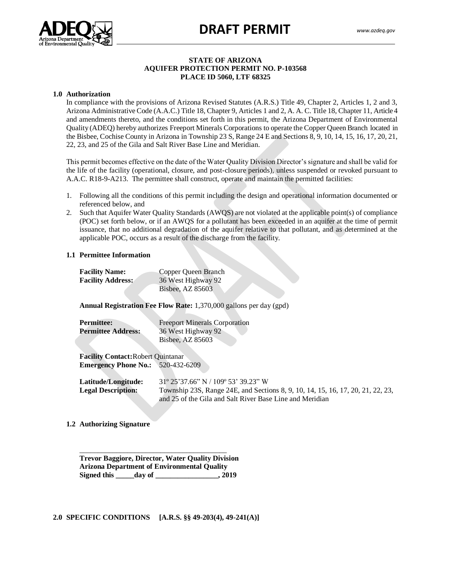# **DRAFT PERMIT**



# **STATE OF ARIZONA AQUIFER PROTECTION PERMIT NO. P-103568 PLACE ID 5060, LTF 68325**

#### **1.0 Authorization**

Authol Lation<br>In compliance with the provisions of Arizona Revised Statutes (A.R.S.) Title 49, Chapter 2, Articles 1, 2 and 3, Arizona Administrative Code (A.A.C.) Title 18, Chapter 9, Articles 1 and 2, A. A. C. Title 18, Chapter 11, Article 4 and amendments thereto, and the conditions set forth in this permit, the Arizona Department of Environmental Quality (ADEQ) hereby authorizes Freeport Minerals Corporations to operate the Copper Queen Branch located in the Bisbee, Cochise County in Arizona in Township 23 S, Range 24 E and Sections 8, 9, 10, 14, 15, 16, 17, 20, 21, 22, 23, and 25 of the Gila and Salt River Base Line and Meridian.

This permit becomes effective on the date of the Water Quality Division Director's signature and shall be valid for the life of the facility (operational, closure, and post-closure periods), unless suspended or revoked pursuant to A.A.C. R18-9-A213. The permittee shall construct, operate and maintain the permitted facilities:

- 1. Following all the conditions of this permit including the design and operational information documented or referenced below, and
- 2. Such that Aquifer Water Quality Standards (AWQS) are not violated at the applicable point(s) of compliance (POC) set forth below, or if an AWQS for a pollutant has been exceeded in an aquifer at the time of permit issuance, that no additional degradation of the aquifer relative to that pollutant, and as determined at the applicable POC, occurs as a result of the discharge from the facility.

# **1.1 Permittee Information**

| <b>Facility Name:</b>    | Copper Queen Branch |
|--------------------------|---------------------|
| <b>Facility Address:</b> | 36 West Highway 92  |
|                          | Bisbee, AZ 85603    |

**Annual Registration Fee Flow Rate:** 1,370,000 gallons per day (gpd)

| <b>Permittee:</b>         | <b>Freeport Minerals Corporation</b> |
|---------------------------|--------------------------------------|
| <b>Permittee Address:</b> | 36 West Highway 92                   |
|                           | Bisbee, AZ 85603                     |
|                           |                                      |

**Facility Contact:**Robert Quintanar **Emergency Phone No.:** 520-432-6209

**Latitude/Longitude:** 31º 25'37.66" N / 109º 53' 39.23" W **Legal Description:** Township 23S, Range 24E, and Sections 8, 9, 10, 14, 15, 16, 17, 20, 21, 22, 23, and 25 of the Gila and Salt River Base Line and Meridian

**1.2 Authorizing Signature**

\_\_\_\_\_\_\_\_\_\_\_\_\_\_\_\_\_\_\_\_\_\_\_\_\_\_\_\_\_\_\_\_\_\_\_\_\_\_\_\_ **Trevor Baggiore, Director, Water Quality Division Arizona Department of Environmental Quality** Signed this day of the set of the set of  $\frac{1}{2019}$ 

**2.0 SPECIFIC CONDITIONS [A.R.S. §§ 49-203(4), 49-241(A)]**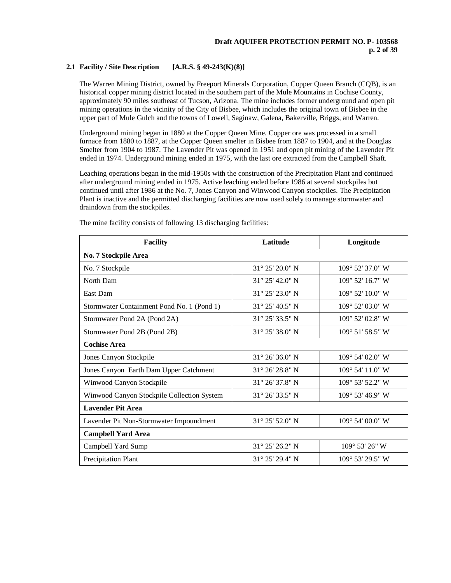# **2.1 Facility / Site Description [A.R.S. § 49-243(K)(8)]**

The Warren Mining District, owned by Freeport Minerals Corporation, Copper Queen Branch (CQB), is an historical copper mining district located in the southern part of the Mule Mountains in Cochise County, approximately 90 miles southeast of Tucson, Arizona. The mine includes former underground and open pit mining operations in the vicinity of the City of Bisbee, which includes the original town of Bisbee in the upper part of Mule Gulch and the towns of Lowell, Saginaw, Galena, Bakerville, Briggs, and Warren.

Underground mining began in 1880 at the Copper Queen Mine. Copper ore was processed in a small furnace from 1880 to 1887, at the Copper Queen smelter in Bisbee from 1887 to 1904, and at the Douglas Smelter from 1904 to 1987. The Lavender Pit was opened in 1951 and open pit mining of the Lavender Pit ended in 1974. Underground mining ended in 1975, with the last ore extracted from the Campbell Shaft.

Leaching operations began in the mid-1950s with the construction of the Precipitation Plant and continued after underground mining ended in 1975. Active leaching ended before 1986 at several stockpiles but continued until after 1986 at the No. 7, Jones Canyon and Winwood Canyon stockpiles. The Precipitation Plant is inactive and the permitted discharging facilities are now used solely to manage stormwater and draindown from the stockpiles.

| <b>Facility</b>                            | Latitude                 | Longitude                          |  |  |  |  |
|--------------------------------------------|--------------------------|------------------------------------|--|--|--|--|
| No. 7 Stockpile Area                       |                          |                                    |  |  |  |  |
| No. 7 Stockpile                            | $31^{\circ}$ 25' 20.0" N | $109^{\circ}$ 52' 37.0" W          |  |  |  |  |
| North Dam                                  | $31^{\circ}$ 25' 42.0" N | $109^{\circ}$ 52' 16.7" W          |  |  |  |  |
| East Dam                                   | $31^{\circ}$ 25' 23.0" N | $109^{\circ}$ 52' $10.0$ " W       |  |  |  |  |
| Stormwater Containment Pond No. 1 (Pond 1) | $31^{\circ}$ 25' 40.5" N | $109^{\circ}$ 52' 03.0" W          |  |  |  |  |
| Stormwater Pond 2A (Pond 2A)               | $31^{\circ}$ 25' 33.5" N | $109^{\circ}$ 52' 02.8" W          |  |  |  |  |
| Stormwater Pond 2B (Pond 2B)               | $31^{\circ}$ 25' 38.0" N | $109^{\circ}$ 51' 58.5" W          |  |  |  |  |
| <b>Cochise Area</b>                        |                          |                                    |  |  |  |  |
| Jones Canyon Stockpile                     | $31^{\circ}$ 26' 36.0" N | $109^{\circ}$ 54' 02.0" W          |  |  |  |  |
| Jones Canyon Earth Dam Upper Catchment     | $31^{\circ}$ 26' 28.8" N | $109^{\circ}$ 54' $11.0^{\circ}$ W |  |  |  |  |
| Winwood Canyon Stockpile                   | $31^{\circ}$ 26' 37.8" N | 109° 53' 52.2" W                   |  |  |  |  |
| Winwood Canyon Stockpile Collection System | $31^{\circ}$ 26' 33.5" N | $109^{\circ}$ 53' 46.9" W          |  |  |  |  |
| <b>Lavender Pit Area</b>                   |                          |                                    |  |  |  |  |
| Lavender Pit Non-Stormwater Impoundment    | $31^{\circ}$ 25' 52.0" N | $109^{\circ}$ 54' 00.0" W          |  |  |  |  |
| <b>Campbell Yard Area</b>                  |                          |                                    |  |  |  |  |
| Campbell Yard Sump                         | $31^{\circ}$ 25' 26.2" N | $109^{\circ}$ 53' 26" W            |  |  |  |  |
| Precipitation Plant                        | $31^{\circ}$ 25' 29.4" N | $109^{\circ}$ 53' 29.5" W          |  |  |  |  |

The mine facility consists of following 13 discharging facilities: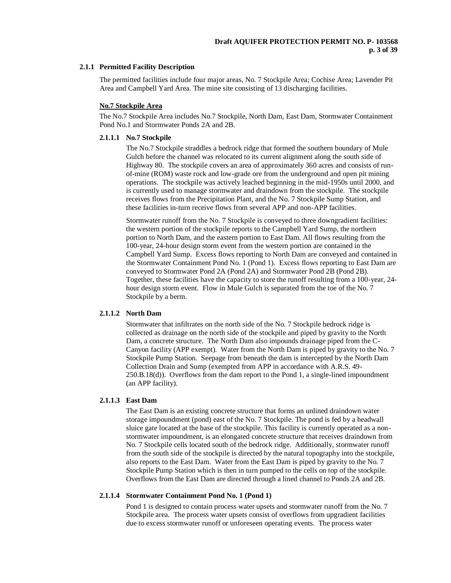### **2.1.1 Permitted Facility Description**

The permitted facilities include four major areas, No. 7 Stockpile Area; Cochise Area; Lavender Pit Area and Campbell Yard Area. The mine site consisting of 13 discharging facilities.

### **No.7 Stockpile Area**

The No.7 Stockpile Area includes No.7 Stockpile, North Dam, East Dam, Stormwater Containment Pond No.1 and Stormwater Ponds 2A and 2B.

### **2.1.1.1 No.7 Stockpile**

The No.7 Stockpile straddles a bedrock ridge that formed the southern boundary of Mule Gulch before the channel was relocated to its current alignment along the south side of Highway 80. The stockpile covers an area of approximately 360 acres and consists of runof-mine (ROM) waste rock and low-grade ore from the underground and open pit mining operations. The stockpile was actively leached beginning in the mid-1950s until 2000, and is currently used to manage stormwater and draindown from the stockpile. The stockpile receives flows from the Precipitation Plant, and the No. 7 Stockpile Sump Station, and these facilities in-turn receive flows from several APP and non-APP facilities.

Stormwater runoff from the No. 7 Stockpile is conveyed to three downgradient facilities: the western portion of the stockpile reports to the Campbell Yard Sump, the northern portion to North Dam, and the eastern portion to East Dam. All flows resulting from the 100-year, 24-hour design storm event from the western portion are contained in the Campbell Yard Sump. Excess flows reporting to North Dam are conveyed and contained in the Stormwater Containment Pond No. 1 (Pond 1). Excess flows reporting to East Dam are conveyed to Stormwater Pond 2A (Pond 2A) and Stormwater Pond 2B (Pond 2B). Together, these facilities have the capacity to store the runoff resulting from a 100-year, 24 hour design storm event. Flow in Mule Gulch is separated from the toe of the No. 7 Stockpile by a berm.

# **2.1.1.2 North Dam**

Stormwater that infiltrates on the north side of the No. 7 Stockpile bedrock ridge is collected as drainage on the north side of the stockpile and piped by gravity to the North Dam, a concrete structure. The North Dam also impounds drainage piped from the C-Canyon facility (APP exempt). Water from the North Dam is piped by gravity to the No. 7 Stockpile Pump Station. Seepage from beneath the dam is intercepted by the North Dam Collection Drain and Sump (exempted from APP in accordance with A.R.S. 49- 250.B.18(d)). Overflows from the dam report to the Pond 1, a single-lined impoundment (an APP facility).

### **2.1.1.3 East Dam**

The East Dam is an existing concrete structure that forms an unlined draindown water storage impoundment (pond) east of the No. 7 Stockpile. The pond is fed by a headwall sluice gate located at the base of the stockpile. This facility is currently operated as a nonstormwater impoundment, is an elongated concrete structure that receives draindown from No. 7 Stockpile cells located south of the bedrock ridge. Additionally, stormwater runoff from the south side of the stockpile is directed by the natural topography into the stockpile, also reports to the East Dam. Water from the East Dam is piped by gravity to the No. 7 Stockpile Pump Station which is then in turn pumped to the cells on top of the stockpile. Overflows from the East Dam are directed through a lined channel to Ponds 2A and 2B.

### **2.1.1.4 Stormwater Containment Pond No. 1 (Pond 1)**

Pond 1 is designed to contain process water upsets and stormwater runoff from the No. 7 Stockpile area. The process water upsets consist of overflows from upgradient facilities due to excess stormwater runoff or unforeseen operating events. The process water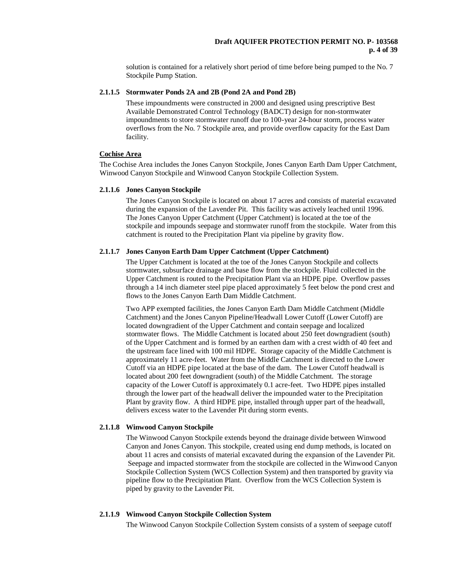solution is contained for a relatively short period of time before being pumped to the No. 7 Stockpile Pump Station.

# **2.1.1.5 Stormwater Ponds 2A and 2B (Pond 2A and Pond 2B)**

These impoundments were constructed in 2000 and designed using prescriptive Best Available Demonstrated Control Technology (BADCT) design for non-stormwater impoundments to store stormwater runoff due to 100-year 24-hour storm, process water overflows from the No. 7 Stockpile area, and provide overflow capacity for the East Dam facility.

### **Cochise Area**

The Cochise Area includes the Jones Canyon Stockpile, Jones Canyon Earth Dam Upper Catchment, Winwood Canyon Stockpile and Winwood Canyon Stockpile Collection System.

# **2.1.1.6 Jones Canyon Stockpile**

The Jones Canyon Stockpile is located on about 17 acres and consists of material excavated during the expansion of the Lavender Pit. This facility was actively leached until 1996. The Jones Canyon Upper Catchment (Upper Catchment) is located at the toe of the stockpile and impounds seepage and stormwater runoff from the stockpile. Water from this catchment is routed to the Precipitation Plant via pipeline by gravity flow.

# **2.1.1.7 Jones Canyon Earth Dam Upper Catchment (Upper Catchment)**

The Upper Catchment is located at the toe of the Jones Canyon Stockpile and collects stormwater, subsurface drainage and base flow from the stockpile. Fluid collected in the Upper Catchment is routed to the Precipitation Plant via an HDPE pipe. Overflow passes through a 14 inch diameter steel pipe placed approximately 5 feet below the pond crest and flows to the Jones Canyon Earth Dam Middle Catchment.

Two APP exempted facilities, the Jones Canyon Earth Dam Middle Catchment (Middle Catchment) and the Jones Canyon Pipeline/Headwall Lower Cutoff (Lower Cutoff) are located downgradient of the Upper Catchment and contain seepage and localized stormwater flows. The Middle Catchment is located about 250 feet downgradient (south) of the Upper Catchment and is formed by an earthen dam with a crest width of 40 feet and the upstream face lined with 100 mil HDPE. Storage capacity of the Middle Catchment is approximately 11 acre-feet. Water from the Middle Catchment is directed to the Lower Cutoff via an HDPE pipe located at the base of the dam. The Lower Cutoff headwall is located about 200 feet downgradient (south) of the Middle Catchment. The storage capacity of the Lower Cutoff is approximately 0.1 acre-feet. Two HDPE pipes installed through the lower part of the headwall deliver the impounded water to the Precipitation Plant by gravity flow. A third HDPE pipe, installed through upper part of the headwall, delivers excess water to the Lavender Pit during storm events.

#### **2.1.1.8 Winwood Canyon Stockpile**

The Winwood Canyon Stockpile extends beyond the drainage divide between Winwood Canyon and Jones Canyon. This stockpile, created using end dump methods, is located on about 11 acres and consists of material excavated during the expansion of the Lavender Pit. Seepage and impacted stormwater from the stockpile are collected in the Winwood Canyon Stockpile Collection System (WCS Collection System) and then transported by gravity via pipeline flow to the Precipitation Plant. Overflow from the WCS Collection System is piped by gravity to the Lavender Pit.

# **2.1.1.9 Winwood Canyon Stockpile Collection System**

The Winwood Canyon Stockpile Collection System consists of a system of seepage cutoff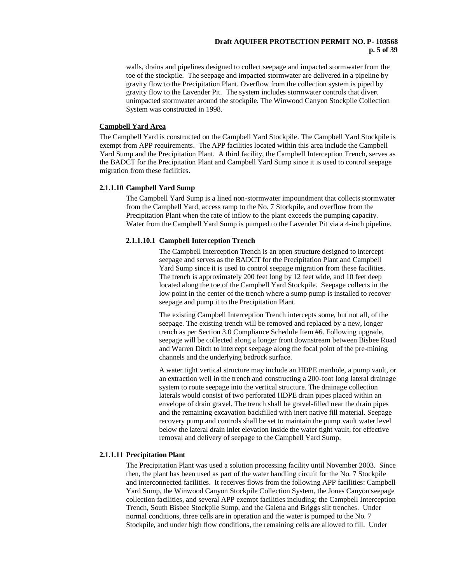# **Draft AQUIFER PROTECTION PERMIT NO. P- 103568 p. 5 of 39**

walls, drains and pipelines designed to collect seepage and impacted stormwater from the toe of the stockpile. The seepage and impacted stormwater are delivered in a pipeline by gravity flow to the Precipitation Plant. Overflow from the collection system is piped by gravity flow to the Lavender Pit. The system includes stormwater controls that divert unimpacted stormwater around the stockpile. The Winwood Canyon Stockpile Collection System was constructed in 1998.

### **Campbell Yard Area**

The Campbell Yard is constructed on the Campbell Yard Stockpile. The Campbell Yard Stockpile is exempt from APP requirements. The APP facilities located within this area include the Campbell Yard Sump and the Precipitation Plant. A third facility, the Campbell Interception Trench, serves as the BADCT for the Precipitation Plant and Campbell Yard Sump since it is used to control seepage migration from these facilities.

#### **2.1.1.10 Campbell Yard Sump**

The Campbell Yard Sump is a lined non-stormwater impoundment that collects stormwater from the Campbell Yard, access ramp to the No. 7 Stockpile, and overflow from the Precipitation Plant when the rate of inflow to the plant exceeds the pumping capacity. Water from the Campbell Yard Sump is pumped to the Lavender Pit via a 4-inch pipeline.

#### **2.1.1.10.1 Campbell Interception Trench**

The Campbell Interception Trench is an open structure designed to intercept seepage and serves as the BADCT for the Precipitation Plant and Campbell Yard Sump since it is used to control seepage migration from these facilities. The trench is approximately 200 feet long by 12 feet wide, and 10 feet deep located along the toe of the Campbell Yard Stockpile. Seepage collects in the low point in the center of the trench where a sump pump is installed to recover seepage and pump it to the Precipitation Plant.

The existing Campbell Interception Trench intercepts some, but not all, of the seepage. The existing trench will be removed and replaced by a new, longer trench as per Section 3.0 Compliance Schedule Item #6. Following upgrade, seepage will be collected along a longer front downstream between Bisbee Road and Warren Ditch to intercept seepage along the focal point of the pre-mining channels and the underlying bedrock surface.

A water tight vertical structure may include an HDPE manhole, a pump vault, or an extraction well in the trench and constructing a 200-foot long lateral drainage system to route seepage into the vertical structure. The drainage collection laterals would consist of two perforated HDPE drain pipes placed within an envelope of drain gravel. The trench shall be gravel-filled near the drain pipes and the remaining excavation backfilled with inert native fill material. Seepage recovery pump and controls shall be set to maintain the pump vault water level below the lateral drain inlet elevation inside the water tight vault, for effective removal and delivery of seepage to the Campbell Yard Sump.

#### **2.1.1.11 Precipitation Plant**

The Precipitation Plant was used a solution processing facility until November 2003. Since then, the plant has been used as part of the water handling circuit for the No. 7 Stockpile and interconnected facilities. It receives flows from the following APP facilities: Campbell Yard Sump, the Winwood Canyon Stockpile Collection System, the Jones Canyon seepage collection facilities, and several APP exempt facilities including: the Campbell Interception Trench, South Bisbee Stockpile Sump, and the Galena and Briggs silt trenches. Under normal conditions, three cells are in operation and the water is pumped to the No. 7 Stockpile, and under high flow conditions, the remaining cells are allowed to fill. Under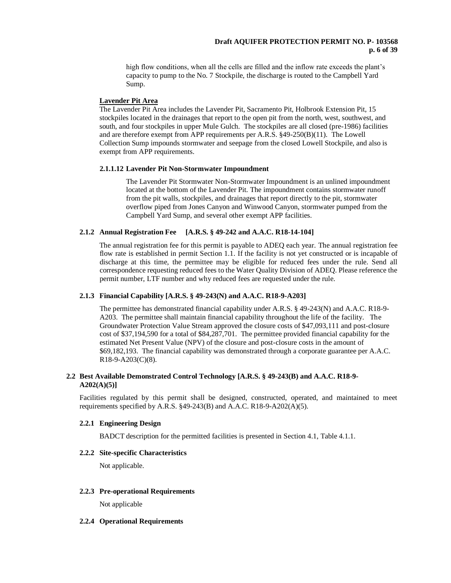high flow conditions, when all the cells are filled and the inflow rate exceeds the plant's capacity to pump to the No. 7 Stockpile, the discharge is routed to the Campbell Yard Sump.

# **Lavender Pit Area**

The Lavender Pit Area includes the Lavender Pit, Sacramento Pit, Holbrook Extension Pit, 15 stockpiles located in the drainages that report to the open pit from the north, west, southwest, and south, and four stockpiles in upper Mule Gulch. The stockpiles are all closed (pre-1986) facilities and are therefore exempt from APP requirements per A.R.S. §49-250(B)(11). The Lowell Collection Sump impounds stormwater and seepage from the closed Lowell Stockpile, and also is exempt from APP requirements.

### **2.1.1.12 Lavender Pit Non-Stormwater Impoundment**

The Lavender Pit Stormwater Non-Stormwater Impoundment is an unlined impoundment located at the bottom of the Lavender Pit. The impoundment contains stormwater runoff from the pit walls, stockpiles, and drainages that report directly to the pit, stormwater overflow piped from Jones Canyon and Winwood Canyon, stormwater pumped from the Campbell Yard Sump, and several other exempt APP facilities.

# **2.1.2 Annual Registration Fee [A.R.S. § 49-242 and A.A.C. R18-14-104]**

The annual registration fee for this permit is payable to ADEQ each year. The annual registration fee flow rate is established in permit Section 1.1. If the facility is not yet constructed or is incapable of discharge at this time, the permittee may be eligible for reduced fees under the rule. Send all correspondence requesting reduced fees to the Water Quality Division of ADEQ. Please reference the permit number, LTF number and why reduced fees are requested under the rule.

# **2.1.3 Financial Capability [A.R.S. § 49-243(N) and A.A.C. R18-9-A203]**

The permittee has demonstrated financial capability under A.R.S. § 49-243(N) and A.A.C. R18-9- A203. The permittee shall maintain financial capability throughout the life of the facility. The Groundwater Protection Value Stream approved the closure costs of \$47,093,111 and post-closure cost of \$37,194,590 for a total of \$84,287,701. The permittee provided financial capability for the estimated Net Present Value (NPV) of the closure and post-closure costs in the amount of \$69,182,193. The financial capability was demonstrated through a corporate guarantee per A.A.C. R18-9-A203(C)(8).

# **2.2 Best Available Demonstrated Control Technology [A.R.S. § 49-243(B) and A.A.C. R18-9- A202(A)(5)]**

Facilities regulated by this permit shall be designed, constructed, operated, and maintained to meet requirements specified by A.R.S.  $\S$ 49-243(B) and A.A.C. R18-9-A202(A)(5).

### **2.2.1 Engineering Design**

BADCT description for the permitted facilities is presented in Section 4.1, Table 4.1.1.

# **2.2.2 Site-specific Characteristics**

Not applicable.

#### **2.2.3 Pre-operational Requirements**

Not applicable

#### **2.2.4 Operational Requirements**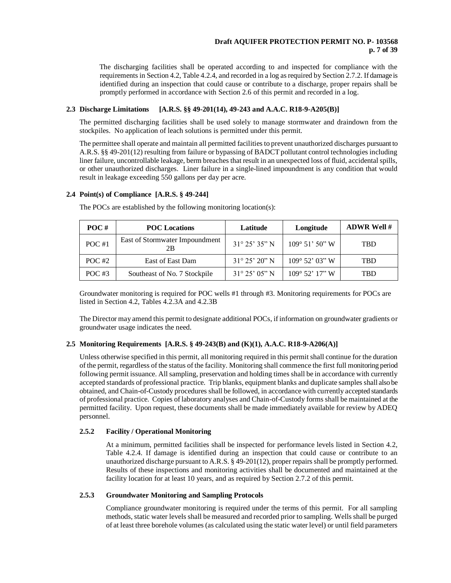# **Draft AQUIFER PROTECTION PERMIT NO. P- 103568 p. 7 of 39**

The discharging facilities shall be operated according to and inspected for compliance with the requirements in Section 4.2, Table 4.2.4, and recorded in a log as required by Section 2.7.2. If damage is identified during an inspection that could cause or contribute to a discharge, proper repairs shall be promptly performed in accordance with Section 2.6 of this permit and recorded in a log.

# **2.3 Discharge Limitations [A.R.S. §§ 49-201(14), 49-243 and A.A.C. R18-9-A205(B)]**

The permitted discharging facilities shall be used solely to manage stormwater and draindown from the stockpiles. No application of leach solutions is permitted under this permit.

The permittee shall operate and maintain all permitted facilities to prevent unauthorized discharges pursuant to A.R.S. §§ 49-201(12) resulting from failure or bypassing of BADCT pollutant control technologies including liner failure, uncontrollable leakage, berm breaches that result in an unexpected loss of fluid, accidental spills, or other unauthorized discharges. Liner failure in a single-lined impoundment is any condition that would result in leakage exceeding 550 gallons per day per acre.

# **2.4 Point(s) of Compliance [A.R.S. § 49-244]**

| $\bf{POC}$ # | <b>POC</b> Locations                 | Latitude                | Longitude                 | <b>ADWR Well #</b> |
|--------------|--------------------------------------|-------------------------|---------------------------|--------------------|
| POC#1        | East of Stormwater Impoundment<br>2B | $31^{\circ} 25' 35'' N$ | $109^{\circ}$ 51' 50" W   | <b>TBD</b>         |
| POC $#2$     | East of East Dam                     | $31^{\circ} 25' 20''$ N | $109^{\circ}$ 52' 03" W   | <b>TBD</b>         |
| POC $#3$     | Southeast of No. 7 Stockpile         | $31^{\circ} 25' 05''$ N | $109^{\circ}$ 52' $17"$ W | TBD                |

The POCs are established by the following monitoring location(s):

Groundwater monitoring is required for POC wells #1 through #3. Monitoring requirements for POCs are listed in Section 4.2, Tables 4.2.3A and 4.2.3B

The Director may amend this permit to designate additional POCs, if information on groundwater gradients or groundwater usage indicates the need.

# **2.5 Monitoring Requirements [A.R.S. § 49-243(B) and (K)(1), A.A.C. R18-9-A206(A)]**

Unless otherwise specified in this permit, all monitoring required in this permit shall continue for the duration of the permit, regardless of the status of the facility. Monitoring shall commence the first full monitoring period following permit issuance. All sampling, preservation and holding times shall be in accordance with currently accepted standards of professional practice. Trip blanks, equipment blanks and duplicate samples shall also be obtained, and Chain-of-Custody procedures shall be followed, in accordance with currently accepted standards of professional practice. Copies of laboratory analyses and Chain-of-Custody forms shall be maintained at the permitted facility. Upon request, these documents shall be made immediately available for review by ADEQ personnel.

# **2.5.2 Facility / Operational Monitoring**

At a minimum, permitted facilities shall be inspected for performance levels listed in Section 4.2, Table 4.2.4. If damage is identified during an inspection that could cause or contribute to an unauthorized discharge pursuant to A.R.S. § 49-201(12), proper repairs shall be promptly performed. Results of these inspections and monitoring activities shall be documented and maintained at the facility location for at least 10 years, and as required by Section 2.7.2 of this permit.

# **2.5.3 Groundwater Monitoring and Sampling Protocols**

Compliance groundwater monitoring is required under the terms of this permit. For all sampling methods, static water levels shall be measured and recorded prior to sampling. Wells shall be purged of at least three borehole volumes (as calculated using the static water level) or until field parameters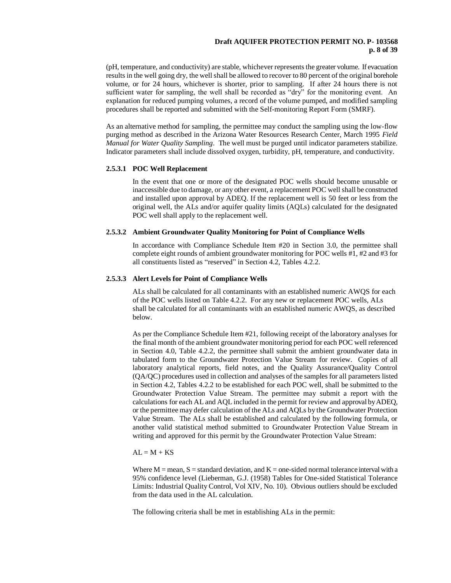### **Draft AQUIFER PROTECTION PERMIT NO. P- 103568 p. 8 of 39**

(pH, temperature, and conductivity) are stable, whichever represents the greater volume. If evacuation results in the well going dry, the well shall be allowed to recover to 80 percent of the original borehole volume, or for 24 hours, whichever is shorter, prior to sampling. If after 24 hours there is not sufficient water for sampling, the well shall be recorded as "dry" for the monitoring event. An explanation for reduced pumping volumes, a record of the volume pumped, and modified sampling procedures shall be reported and submitted with the Self-monitoring Report Form (SMRF).

As an alternative method for sampling, the permittee may conduct the sampling using the low-flow purging method as described in the Arizona Water Resources Research Center, March 1995 *Field Manual for Water Quality Sampling*. The well must be purged until indicator parameters stabilize. Indicator parameters shall include dissolved oxygen, turbidity, pH, temperature, and conductivity.

#### **2.5.3.1 POC Well Replacement**

In the event that one or more of the designated POC wells should become unusable or inaccessible due to damage, or any other event, a replacement POC well shall be constructed and installed upon approval by ADEQ. If the replacement well is 50 feet or less from the original well, the ALs and/or aquifer quality limits (AQLs) calculated for the designated POC well shall apply to the replacement well.

### **2.5.3.2 Ambient Groundwater Quality Monitoring for Point of Compliance Wells**

In accordance with Compliance Schedule Item #20 in Section 3.0, the permittee shall complete eight rounds of ambient groundwater monitoring for POC wells #1, #2 and #3 for all constituents listed as "reserved" in Section 4.2, Tables 4.2.2.

### **2.5.3.3 Alert Levels for Point of Compliance Wells**

ALs shall be calculated for all contaminants with an established numeric AWQS for each of the POC wells listed on Table 4.2.2. For any new or replacement POC wells, ALs shall be calculated for all contaminants with an established numeric AWQS, as described below.

As per the Compliance Schedule Item #21, following receipt of the laboratory analyses for the final month of the ambient groundwater monitoring period for each POC well referenced in Section 4.0, Table 4.2.2, the permittee shall submit the ambient groundwater data in tabulated form to the Groundwater Protection Value Stream for review. Copies of all laboratory analytical reports, field notes, and the Quality Assurance/Quality Control (QA/QC) procedures used in collection and analyses of the samples for all parameters listed in Section 4.2, Tables 4.2.2 to be established for each POC well, shall be submitted to the Groundwater Protection Value Stream. The permittee may submit a report with the calculations for each AL and AQL included in the permit for review and approval by ADEQ, or the permittee may defer calculation of the ALs and AQLs by the Groundwater Protection Value Stream. The ALs shall be established and calculated by the following formula, or another valid statistical method submitted to Groundwater Protection Value Stream in writing and approved for this permit by the Groundwater Protection Value Stream:

#### $AL = M + KS$

Where  $M =$  mean,  $S =$  standard deviation, and  $K =$  one-sided normal tolerance interval with a 95% confidence level (Lieberman, G.J. (1958) Tables for One-sided Statistical Tolerance Limits: Industrial Quality Control, Vol XIV, No. 10). Obvious outliers should be excluded from the data used in the AL calculation.

The following criteria shall be met in establishing ALs in the permit: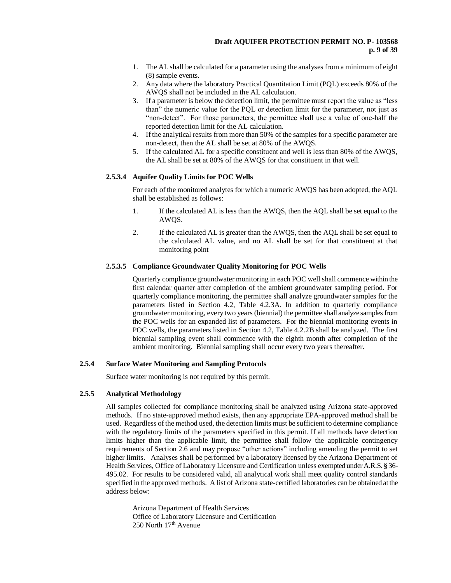- 1. The AL shall be calculated for a parameter using the analyses from a minimum of eight (8) sample events.
- 2. Any data where the laboratory Practical Quantitation Limit (PQL) exceeds 80% of the AWQS shall not be included in the AL calculation.
- 3. If a parameter is below the detection limit, the permittee must report the value as "less than" the numeric value for the PQL or detection limit for the parameter, not just as "non-detect". For those parameters, the permittee shall use a value of one-half the reported detection limit for the AL calculation.
- 4. If the analytical results from more than 50% of the samples for a specific parameter are non-detect, then the AL shall be set at 80% of the AWQS.
- 5. If the calculated AL for a specific constituent and well is less than 80% of the AWQS, the AL shall be set at 80% of the AWQS for that constituent in that well.

# **2.5.3.4 Aquifer Quality Limits for POC Wells**

For each of the monitored analytes for which a numeric AWQS has been adopted, the AQL shall be established as follows:

- 1. If the calculated AL is less than the AWQS, then the AQL shall be set equal to the AWQS.
- 2. If the calculated AL is greater than the AWQS, then the AQL shall be set equal to the calculated AL value, and no AL shall be set for that constituent at that monitoring point

# **2.5.3.5 Compliance Groundwater Quality Monitoring for POC Wells**

Quarterly compliance groundwater monitoring in each POC well shall commence within the first calendar quarter after completion of the ambient groundwater sampling period. For quarterly compliance monitoring, the permittee shall analyze groundwater samples for the parameters listed in Section 4.2, Table 4.2.3A. In addition to quarterly compliance groundwater monitoring, every two years (biennial) the permittee shall analyze samples from the POC wells for an expanded list of parameters. For the biennial monitoring events in POC wells, the parameters listed in Section 4.2, Table 4.2.2B shall be analyzed. The first biennial sampling event shall commence with the eighth month after completion of the ambient monitoring. Biennial sampling shall occur every two years thereafter.

### **2.5.4 Surface Water Monitoring and Sampling Protocols**

Surface water monitoring is not required by this permit.

### **2.5.5 Analytical Methodology**

All samples collected for compliance monitoring shall be analyzed using Arizona state-approved methods. If no state-approved method exists, then any appropriate EPA-approved method shall be used. Regardless of the method used, the detection limits must be sufficient to determine compliance with the regulatory limits of the parameters specified in this permit. If all methods have detection limits higher than the applicable limit, the permittee shall follow the applicable contingency requirements of Section 2.6 and may propose "other actions" including amending the permit to set higher limits. Analyses shall be performed by a laboratory licensed by the Arizona Department of Health Services, Office of Laboratory Licensure and Certification unless exempted under A.R.S. **§** 36- 495.02. For results to be considered valid, all analytical work shall meet quality control standards specified in the approved methods. A list of Arizona state-certified laboratories can be obtained at the address below:

Arizona Department of Health Services Office of Laboratory Licensure and Certification 250 North 17th Avenue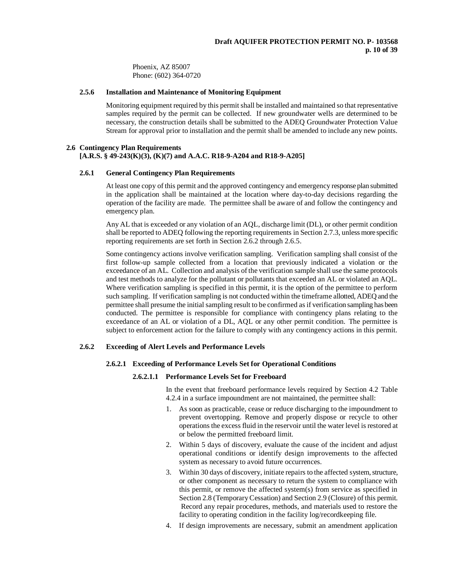Phoenix, AZ 85007 Phone: (602) 364-0720

### **2.5.6 Installation and Maintenance of Monitoring Equipment**

Monitoring equipment required by this permit shall be installed and maintained so that representative samples required by the permit can be collected. If new groundwater wells are determined to be necessary, the construction details shall be submitted to the ADEQ Groundwater Protection Value Stream for approval prior to installation and the permit shall be amended to include any new points.

#### **2.6 Contingency Plan Requirements**

# **[A.R.S. § 49-243(K)(3), (K)(7) and A.A.C. R18-9-A204 and R18-9-A205]**

#### **2.6.1 General Contingency Plan Requirements**

At least one copy of this permit and the approved contingency and emergency response plan submitted in the application shall be maintained at the location where day-to-day decisions regarding the operation of the facility are made. The permittee shall be aware of and follow the contingency and emergency plan.

Any AL that is exceeded or any violation of an AQL, discharge limit (DL), or other permit condition shall be reported to ADEQ following the reporting requirements in Section 2.7.3, unless more specific reporting requirements are set forth in Section 2.6.2 through 2.6.5.

Some contingency actions involve verification sampling. Verification sampling shall consist of the first follow-up sample collected from a location that previously indicated a violation or the exceedance of an AL. Collection and analysis of the verification sample shall use the same protocols and test methods to analyze for the pollutant or pollutants that exceeded an AL or violated an AQL. Where verification sampling is specified in this permit, it is the option of the permittee to perform such sampling. If verification sampling is not conducted within the timeframe allotted, ADEQ and the permittee shall presume the initial sampling result to be confirmed as if verification sampling has been conducted. The permittee is responsible for compliance with contingency plans relating to the exceedance of an AL or violation of a DL, AQL or any other permit condition. The permittee is subject to enforcement action for the failure to comply with any contingency actions in this permit.

#### **2.6.2 Exceeding of Alert Levels and Performance Levels**

#### **2.6.2.1 Exceeding of Performance Levels Set for Operational Conditions**

#### **2.6.2.1.1 Performance Levels Set for Freeboard**

In the event that freeboard performance levels required by Section 4.2 Table 4.2.4 in a surface impoundment are not maintained, the permittee shall:

- 1. As soon as practicable, cease or reduce discharging to the impoundment to prevent overtopping. Remove and properly dispose or recycle to other operations the excess fluid in the reservoir until the water level is restored at or below the permitted freeboard limit.
- 2. Within 5 days of discovery, evaluate the cause of the incident and adjust operational conditions or identify design improvements to the affected system as necessary to avoid future occurrences.
- 3. Within 30 days of discovery, initiate repairs to the affected system, structure, or other component as necessary to return the system to compliance with this permit, or remove the affected system(s) from service as specified in Section 2.8 (Temporary Cessation) and Section 2.9 (Closure) of this permit. Record any repair procedures, methods, and materials used to restore the facility to operating condition in the facility log/recordkeeping file.
- 4. If design improvements are necessary, submit an amendment application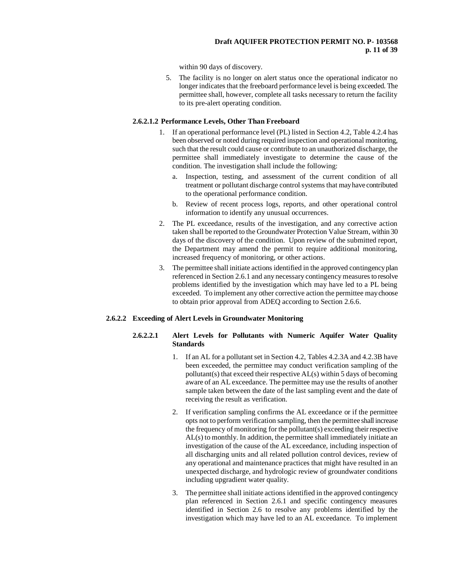within 90 days of discovery.

5. The facility is no longer on alert status once the operational indicator no longer indicates that the freeboard performance level is being exceeded. The permittee shall, however, complete all tasks necessary to return the facility to its pre-alert operating condition.

# **2.6.2.1.2 Performance Levels, Other Than Freeboard**

- 1. If an operational performance level (PL) listed in Section 4.2, Table 4.2.4 has been observed or noted during required inspection and operational monitoring, such that the result could cause or contribute to an unauthorized discharge, the permittee shall immediately investigate to determine the cause of the condition. The investigation shall include the following:
	- a. Inspection, testing, and assessment of the current condition of all treatment or pollutant discharge control systems that may have contributed to the operational performance condition.
	- b. Review of recent process logs, reports, and other operational control information to identify any unusual occurrences.
- 2. The PL exceedance, results of the investigation, and any corrective action taken shall be reported to the Groundwater Protection Value Stream, within 30 days of the discovery of the condition. Upon review of the submitted report, the Department may amend the permit to require additional monitoring, increased frequency of monitoring, or other actions.
- 3. The permittee shall initiate actions identified in the approved contingency plan referenced in Section 2.6.1 and any necessary contingency measures to resolve problems identified by the investigation which may have led to a PL being exceeded. To implement any other corrective action the permittee may choose to obtain prior approval from ADEQ according to Section 2.6.6.

# **2.6.2.2 Exceeding of Alert Levels in Groundwater Monitoring**

# **2.6.2.2.1 Alert Levels for Pollutants with Numeric Aquifer Water Quality Standards**

- 1. If an AL for a pollutant set in Section 4.2, Tables 4.2.3A and 4.2.3B have been exceeded, the permittee may conduct verification sampling of the pollutant(s) that exceed their respective AL(s) within 5 days of becoming aware of an AL exceedance. The permittee may use the results of another sample taken between the date of the last sampling event and the date of receiving the result as verification.
- 2. If verification sampling confirms the AL exceedance or if the permittee opts not to perform verification sampling, then the permittee shall increase the frequency of monitoring for the pollutant(s) exceeding their respective AL(s) to monthly. In addition, the permittee shall immediately initiate an investigation of the cause of the AL exceedance, including inspection of all discharging units and all related pollution control devices, review of any operational and maintenance practices that might have resulted in an unexpected discharge, and hydrologic review of groundwater conditions including upgradient water quality.
- 3. The permittee shall initiate actions identified in the approved contingency plan referenced in Section 2.6.1 and specific contingency measures identified in Section 2.6 to resolve any problems identified by the investigation which may have led to an AL exceedance. To implement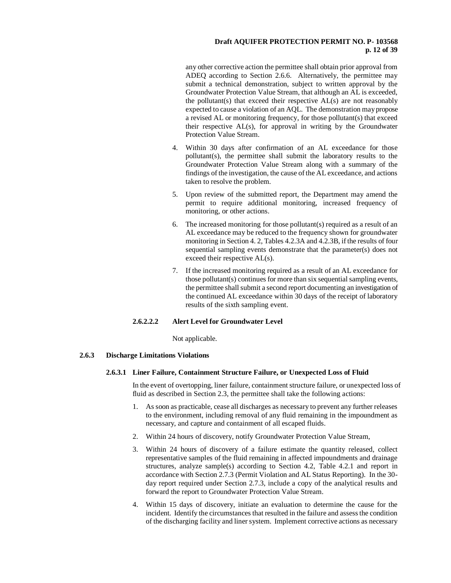# **Draft AQUIFER PROTECTION PERMIT NO. P- 103568 p. 12 of 39**

any other corrective action the permittee shall obtain prior approval from ADEQ according to Section 2.6.6. Alternatively, the permittee may submit a technical demonstration, subject to written approval by the Groundwater Protection Value Stream, that although an AL is exceeded, the pollutant(s) that exceed their respective AL(s) are not reasonably expected to cause a violation of an AQL. The demonstration may propose a revised AL or monitoring frequency, for those pollutant(s) that exceed their respective AL(s), for approval in writing by the Groundwater Protection Value Stream.

- 4. Within 30 days after confirmation of an AL exceedance for those pollutant(s), the permittee shall submit the laboratory results to the Groundwater Protection Value Stream along with a summary of the findings of the investigation, the cause of the AL exceedance, and actions taken to resolve the problem.
- 5. Upon review of the submitted report, the Department may amend the permit to require additional monitoring, increased frequency of monitoring, or other actions.
- 6. The increased monitoring for those pollutant(s) required as a result of an AL exceedance may be reduced to the frequency shown for groundwater monitoring in Section 4. 2, Tables 4.2.3A and 4.2.3B, if the results of four sequential sampling events demonstrate that the parameter(s) does not exceed their respective AL(s).
- 7. If the increased monitoring required as a result of an AL exceedance for those pollutant(s) continues for more than six sequential sampling events, the permittee shall submit a second report documenting an investigation of the continued AL exceedance within 30 days of the receipt of laboratory results of the sixth sampling event.

# **2.6.2.2.2 Alert Level for Groundwater Level**

Not applicable.

### **2.6.3 Discharge Limitations Violations**

### **2.6.3.1 Liner Failure, Containment Structure Failure, or Unexpected Loss of Fluid**

In the event of overtopping, liner failure, containment structure failure, or unexpected loss of fluid as described in Section 2.3, the permittee shall take the following actions:

- 1. As soon as practicable, cease all discharges as necessary to prevent any further releases to the environment, including removal of any fluid remaining in the impoundment as necessary, and capture and containment of all escaped fluids.
- 2. Within 24 hours of discovery, notify Groundwater Protection Value Stream,
- 3. Within 24 hours of discovery of a failure estimate the quantity released, collect representative samples of the fluid remaining in affected impoundments and drainage structures, analyze sample(s) according to Section 4.2, Table 4.2.1 and report in accordance with Section 2.7.3 (Permit Violation and AL Status Reporting). In the 30 day report required under Section 2.7.3, include a copy of the analytical results and forward the report to Groundwater Protection Value Stream.
- 4. Within 15 days of discovery, initiate an evaluation to determine the cause for the incident. Identify the circumstances that resulted in the failure and assess the condition of the discharging facility and liner system. Implement corrective actions as necessary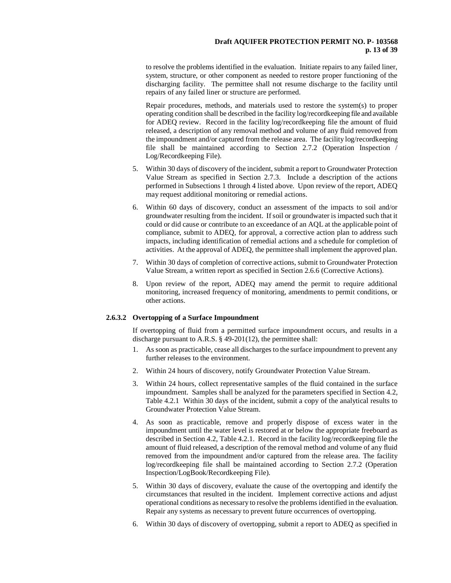to resolve the problems identified in the evaluation. Initiate repairs to any failed liner, system, structure, or other component as needed to restore proper functioning of the discharging facility. The permittee shall not resume discharge to the facility until repairs of any failed liner or structure are performed.

Repair procedures, methods, and materials used to restore the system(s) to proper operating condition shall be described in the facility log/recordkeeping file and available for ADEQ review. Record in the facility log/recordkeeping file the amount of fluid released, a description of any removal method and volume of any fluid removed from the impoundment and/or captured from the release area. The facility log/recordkeeping file shall be maintained according to Section 2.7.2 (Operation Inspection / Log/Recordkeeping File).

- 5. Within 30 days of discovery of the incident, submit a report to Groundwater Protection Value Stream as specified in Section 2.7.3. Include a description of the actions performed in Subsections 1 through 4 listed above. Upon review of the report, ADEQ may request additional monitoring or remedial actions.
- 6. Within 60 days of discovery, conduct an assessment of the impacts to soil and/or groundwater resulting from the incident. If soil or groundwater is impacted such that it could or did cause or contribute to an exceedance of an AQL at the applicable point of compliance, submit to ADEQ, for approval, a corrective action plan to address such impacts, including identification of remedial actions and a schedule for completion of activities. At the approval of ADEQ, the permittee shall implement the approved plan.
- 7. Within 30 days of completion of corrective actions, submit to Groundwater Protection Value Stream, a written report as specified in Section 2.6.6 (Corrective Actions).
- 8. Upon review of the report, ADEQ may amend the permit to require additional monitoring, increased frequency of monitoring, amendments to permit conditions, or other actions.

### **2.6.3.2 Overtopping of a Surface Impoundment**

If overtopping of fluid from a permitted surface impoundment occurs, and results in a discharge pursuant to A.R.S. § 49-201(12), the permittee shall:

- 1. As soon as practicable, cease all discharges to the surface impoundment to prevent any further releases to the environment.
- 2. Within 24 hours of discovery, notify Groundwater Protection Value Stream.
- 3. Within 24 hours, collect representative samples of the fluid contained in the surface impoundment. Samples shall be analyzed for the parameters specified in Section 4.2, Table 4.2.1 Within 30 days of the incident, submit a copy of the analytical results to Groundwater Protection Value Stream.
- 4. As soon as practicable, remove and properly dispose of excess water in the impoundment until the water level is restored at or below the appropriate freeboard as described in Section 4.2, Table 4.2.1. Record in the facility log/recordkeeping file the amount of fluid released, a description of the removal method and volume of any fluid removed from the impoundment and/or captured from the release area. The facility log/recordkeeping file shall be maintained according to Section 2.7.2 (Operation Inspection/LogBook/Recordkeeping File).
- 5. Within 30 days of discovery, evaluate the cause of the overtopping and identify the circumstances that resulted in the incident. Implement corrective actions and adjust operational conditions as necessary to resolve the problems identified in the evaluation. Repair any systems as necessary to prevent future occurrences of overtopping.
- 6. Within 30 days of discovery of overtopping, submit a report to ADEQ as specified in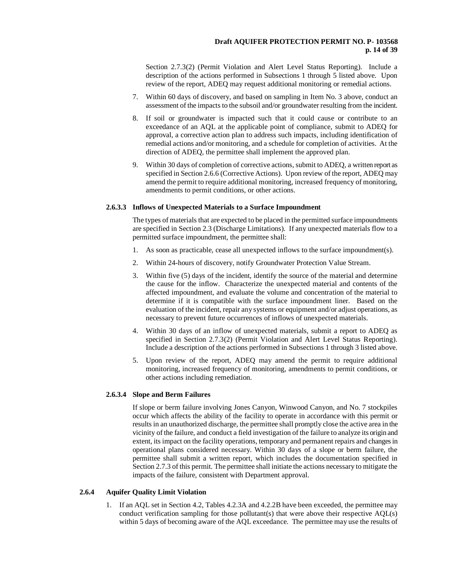Section 2.7.3(2) (Permit Violation and Alert Level Status Reporting). Include a description of the actions performed in Subsections 1 through 5 listed above. Upon review of the report, ADEQ may request additional monitoring or remedial actions.

- 7. Within 60 days of discovery, and based on sampling in Item No. 3 above, conduct an assessment of the impacts to the subsoil and/or groundwater resulting from the incident.
- 8. If soil or groundwater is impacted such that it could cause or contribute to an exceedance of an AQL at the applicable point of compliance, submit to ADEQ for approval, a corrective action plan to address such impacts, including identification of remedial actions and/or monitoring, and a schedule for completion of activities. At the direction of ADEQ, the permittee shall implement the approved plan.
- 9. Within 30 days of completion of corrective actions, submit to ADEQ, a written report as specified in Section 2.6.6 (Corrective Actions). Upon review of the report, ADEQ may amend the permit to require additional monitoring, increased frequency of monitoring, amendments to permit conditions, or other actions.

### **2.6.3.3 Inflows of Unexpected Materials to a Surface Impoundment**

The types of materials that are expected to be placed in the permitted surface impoundments are specified in Section 2.3 (Discharge Limitations). If any unexpected materials flow to a permitted surface impoundment, the permittee shall:

- 1. As soon as practicable, cease all unexpected inflows to the surface impoundment(s).
- 2. Within 24-hours of discovery, notify Groundwater Protection Value Stream.
- 3. Within five (5) days of the incident, identify the source of the material and determine the cause for the inflow. Characterize the unexpected material and contents of the affected impoundment, and evaluate the volume and concentration of the material to determine if it is compatible with the surface impoundment liner. Based on the evaluation of the incident, repair any systems or equipment and/or adjust operations, as necessary to prevent future occurrences of inflows of unexpected materials.
- 4. Within 30 days of an inflow of unexpected materials, submit a report to ADEQ as specified in Section 2.7.3(2) (Permit Violation and Alert Level Status Reporting). Include a description of the actions performed in Subsections 1 through 3 listed above.
- 5. Upon review of the report, ADEQ may amend the permit to require additional monitoring, increased frequency of monitoring, amendments to permit conditions, or other actions including remediation.

### **2.6.3.4 Slope and Berm Failures**

If slope or berm failure involving Jones Canyon, Winwood Canyon, and No. 7 stockpiles occur which affects the ability of the facility to operate in accordance with this permit or results in an unauthorized discharge, the permittee shall promptly close the active area in the vicinity of the failure, and conduct a field investigation of the failure to analyze its origin and extent, its impact on the facility operations, temporary and permanent repairs and changes in operational plans considered necessary. Within 30 days of a slope or berm failure, the permittee shall submit a written report, which includes the documentation specified in Section 2.7.3 of this permit. The permittee shall initiate the actions necessary to mitigate the impacts of the failure, consistent with Department approval.

### **2.6.4 Aquifer Quality Limit Violation**

1. If an AQL set in Section 4.2, Tables 4.2.3A and 4.2.2B have been exceeded, the permittee may conduct verification sampling for those pollutant(s) that were above their respective AQL(s) within 5 days of becoming aware of the AQL exceedance. The permittee may use the results of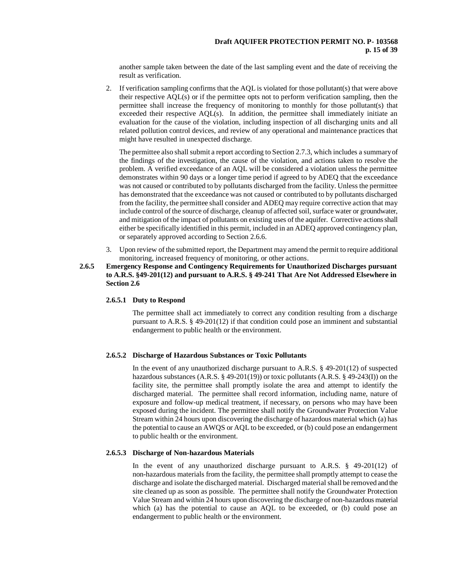### **Draft AQUIFER PROTECTION PERMIT NO. P- 103568 p. 15 of 39**

another sample taken between the date of the last sampling event and the date of receiving the result as verification.

2. If verification sampling confirms that the AQL is violated for those pollutant(s) that were above their respective AQL(s) or if the permittee opts not to perform verification sampling, then the permittee shall increase the frequency of monitoring to monthly for those pollutant(s) that exceeded their respective AQL(s). In addition, the permittee shall immediately initiate an evaluation for the cause of the violation, including inspection of all discharging units and all related pollution control devices, and review of any operational and maintenance practices that might have resulted in unexpected discharge.

The permittee also shall submit a report according to Section 2.7.3, which includes a summary of the findings of the investigation, the cause of the violation, and actions taken to resolve the problem. A verified exceedance of an AQL will be considered a violation unless the permittee demonstrates within 90 days or a longer time period if agreed to by ADEQ that the exceedance was not caused or contributed to by pollutants discharged from the facility. Unless the permittee has demonstrated that the exceedance was not caused or contributed to by pollutants discharged from the facility, the permittee shall consider and ADEQ may require corrective action that may include control of the source of discharge, cleanup of affected soil, surface water or groundwater, and mitigation of the impact of pollutants on existing uses of the aquifer. Corrective actions shall either be specifically identified in this permit, included in an ADEQ approved contingency plan, or separately approved according to Section 2.6.6.

- 3. Upon review of the submitted report, the Department may amend the permit to require additional monitoring, increased frequency of monitoring, or other actions.
- **2.6.5 Emergency Response and Contingency Requirements for Unauthorized Discharges pursuant to A.R.S. §49-201(12) and pursuant to A.R.S. § 49-241 That Are Not Addressed Elsewhere in Section 2.6**

### **2.6.5.1 Duty to Respond**

The permittee shall act immediately to correct any condition resulting from a discharge pursuant to A.R.S. § 49-201(12) if that condition could pose an imminent and substantial endangerment to public health or the environment.

### **2.6.5.2 Discharge of Hazardous Substances or Toxic Pollutants**

In the event of any unauthorized discharge pursuant to A.R.S. § 49-201(12) of suspected hazardous substances (A.R.S. § 49-201(19)) or toxic pollutants (A.R.S. § 49-243(I)) on the facility site, the permittee shall promptly isolate the area and attempt to identify the discharged material. The permittee shall record information, including name, nature of exposure and follow-up medical treatment, if necessary, on persons who may have been exposed during the incident. The permittee shall notify the Groundwater Protection Value Stream within 24 hours upon discovering the discharge of hazardous material which (a) has the potential to cause an AWQS or AQL to be exceeded, or (b) could pose an endangerment to public health or the environment.

### **2.6.5.3 Discharge of Non-hazardous Materials**

In the event of any unauthorized discharge pursuant to A.R.S. § 49-201(12) of non-hazardous materials from the facility, the permittee shall promptly attempt to cease the discharge and isolate the discharged material. Discharged material shall be removed and the site cleaned up as soon as possible. The permittee shall notify the Groundwater Protection Value Stream and within 24 hours upon discovering the discharge of non-hazardous material which (a) has the potential to cause an AQL to be exceeded, or (b) could pose an endangerment to public health or the environment.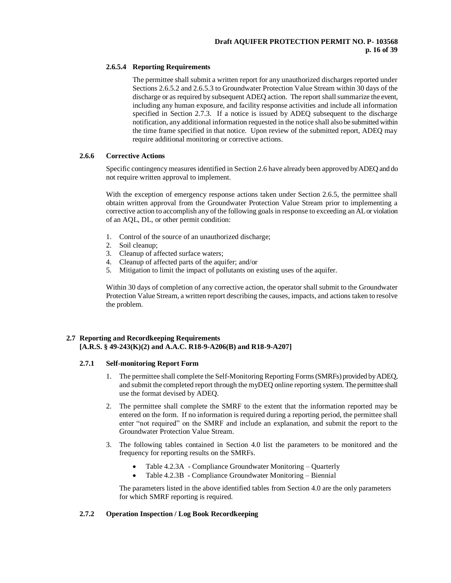# **2.6.5.4 Reporting Requirements**

The permittee shall submit a written report for any unauthorized discharges reported under Sections 2.6.5.2 and 2.6.5.3 to Groundwater Protection Value Stream within 30 days of the discharge or as required by subsequent ADEQ action. The report shall summarize the event, including any human exposure, and facility response activities and include all information specified in Section 2.7.3. If a notice is issued by ADEQ subsequent to the discharge notification, any additional information requested in the notice shall also be submitted within the time frame specified in that notice. Upon review of the submitted report, ADEQ may require additional monitoring or corrective actions.

# **2.6.6 Corrective Actions**

Specific contingency measures identified in Section 2.6 have already been approved by ADEQ and do not require written approval to implement.

With the exception of emergency response actions taken under Section 2.6.5, the permittee shall obtain written approval from the Groundwater Protection Value Stream prior to implementing a corrective action to accomplish any of the following goals in response to exceeding an AL or violation of an AQL, DL, or other permit condition:

- 1. Control of the source of an unauthorized discharge;
- 2. Soil cleanup;
- 3. Cleanup of affected surface waters;
- 4. Cleanup of affected parts of the aquifer; and/or
- 5. Mitigation to limit the impact of pollutants on existing uses of the aquifer.

Within 30 days of completion of any corrective action, the operator shall submit to the Groundwater Protection Value Stream, a written report describing the causes, impacts, and actions taken to resolve the problem.

# **2.7 Reporting and Recordkeeping Requirements [A.R.S. § 49-243(K)(2) and A.A.C. R18-9-A206(B) and R18-9-A207]**

### **2.7.1 Self-monitoring Report Form**

- 1. The permittee shall complete the Self-Monitoring Reporting Forms (SMRFs) provided by ADEQ, and submit the completed report through the myDEQ online reporting system. The permittee shall use the format devised by ADEQ.
- 2. The permittee shall complete the SMRF to the extent that the information reported may be entered on the form. If no information is required during a reporting period, the permittee shall enter "not required" on the SMRF and include an explanation, and submit the report to the Groundwater Protection Value Stream.
- 3. The following tables contained in Section 4.0 list the parameters to be monitored and the frequency for reporting results on the SMRFs.
	- Table 4.2.3A Compliance Groundwater Monitoring Quarterly
	- Table 4.2.3B Compliance Groundwater Monitoring Biennial

The parameters listed in the above identified tables from Section 4.0 are the only parameters for which SMRF reporting is required.

# **2.7.2 Operation Inspection / Log Book Recordkeeping**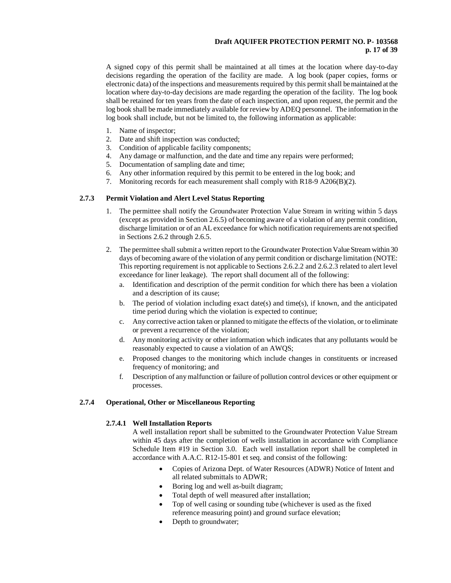# **Draft AQUIFER PROTECTION PERMIT NO. P- 103568 p. 17 of 39**

A signed copy of this permit shall be maintained at all times at the location where day-to-day decisions regarding the operation of the facility are made. A log book (paper copies, forms or electronic data) of the inspections and measurements required by this permit shall be maintained at the location where day-to-day decisions are made regarding the operation of the facility. The log book shall be retained for ten years from the date of each inspection, and upon request, the permit and the log book shall be made immediately available for review by ADEQ personnel. The information in the log book shall include, but not be limited to, the following information as applicable:

- 1. Name of inspector;
- 2. Date and shift inspection was conducted;
- 3. Condition of applicable facility components;
- 4. Any damage or malfunction, and the date and time any repairs were performed;
- 5. Documentation of sampling date and time;
- 6. Any other information required by this permit to be entered in the log book; and
- 7. Monitoring records for each measurement shall comply with R18-9 A206(B)(2).

### **2.7.3 Permit Violation and Alert Level Status Reporting**

- 1. The permittee shall notify the Groundwater Protection Value Stream in writing within 5 days (except as provided in Section 2.6.5) of becoming aware of a violation of any permit condition, discharge limitation or of an AL exceedance for which notification requirements are not specified in Sections 2.6.2 through 2.6.5.
- 2. The permittee shall submit a written report to the Groundwater Protection Value Stream within 30 days of becoming aware of the violation of any permit condition or discharge limitation (NOTE: This reporting requirement is not applicable to Sections 2.6.2.2 and 2.6.2.3 related to alert level exceedance for liner leakage). The report shall document all of the following:
	- a. Identification and description of the permit condition for which there has been a violation and a description of its cause;
	- b. The period of violation including exact date(s) and time(s), if known, and the anticipated time period during which the violation is expected to continue;
	- c. Any corrective action taken or planned to mitigate the effects of the violation, or to eliminate or prevent a recurrence of the violation;
	- d. Any monitoring activity or other information which indicates that any pollutants would be reasonably expected to cause a violation of an AWQS;
	- e. Proposed changes to the monitoring which include changes in constituents or increased frequency of monitoring; and
	- f. Description of any malfunction or failure of pollution control devices or other equipment or processes.

### **2.7.4 Operational, Other or Miscellaneous Reporting**

#### **2.7.4.1 Well Installation Reports**

A well installation report shall be submitted to the Groundwater Protection Value Stream within 45 days after the completion of wells installation in accordance with Compliance Schedule Item #19 in Section 3.0. Each well installation report shall be completed in accordance with A.A.C. R12-15-801 et seq. and consist of the following:

- Copies of Arizona Dept. of Water Resources (ADWR) Notice of Intent and all related submittals to ADWR;
- Boring log and well as-built diagram;
- Total depth of well measured after installation;
- Top of well casing or sounding tube (whichever is used as the fixed reference measuring point) and ground surface elevation;
- Depth to groundwater;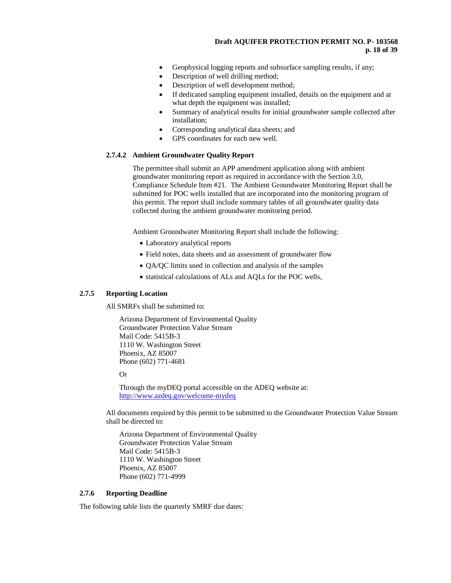# **Draft AQUIFER PROTECTION PERMIT NO. P- 103568 p. 18 of 39**

- Geophysical logging reports and subsurface sampling results, if any;
- Description of well drilling method;
- Description of well development method;
- If dedicated sampling equipment installed, details on the equipment and at what depth the equipment was installed;
- Summary of analytical results for initial groundwater sample collected after installation;
- Corresponding analytical data sheets; and
- GPS coordinates for each new well.

#### **2.7.4.2 Ambient Groundwater Quality Report**

The permittee shall submit an APP amendment application along with ambient groundwater monitoring report as required in accordance with the Section 3.0, Compliance Schedule Item #21. The Ambient Groundwater Monitoring Report shall be submitted for POC wells installed that are incorporated into the monitoring program of this permit. The report shall include summary tables of all groundwater quality data collected during the ambient groundwater monitoring period.

Ambient Groundwater Monitoring Report shall include the following:

- Laboratory analytical reports
- Field notes, data sheets and an assessment of groundwater flow
- QA/QC limits used in collection and analysis of the samples
- statistical calculations of ALs and AQLs for the POC wells,

### **2.7.5 Reporting Location**

All SMRFs shall be submitted to:

Arizona Department of Environmental Quality Groundwater Protection Value Stream Mail Code: 5415B-3 1110 W. Washington Street Phoenix, AZ 85007 Phone (602) 771-4681

Or

Through the myDEQ portal accessible on the ADEQ website at: <http://www.azdeq.gov/welcome-mydeq>

All documents required by this permit to be submitted to the Groundwater Protection Value Stream shall be directed to:

Arizona Department of Environmental Quality Groundwater Protection Value Stream Mail Code: 5415B-3 1110 W. Washington Street Phoenix, AZ 85007 Phone (602) 771-4999

### **2.7.6 Reporting Deadline**

The following table lists the quarterly SMRF due dates: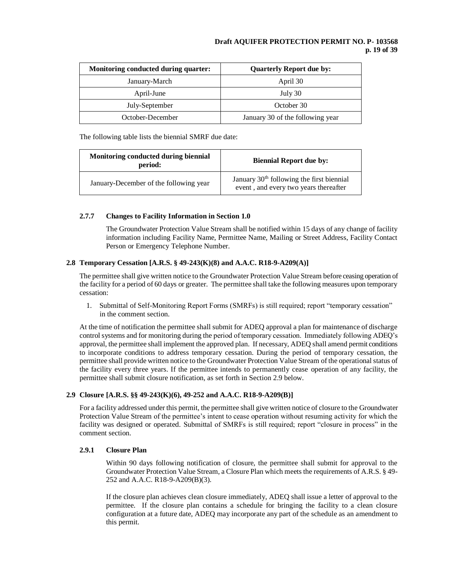# **Draft AQUIFER PROTECTION PERMIT NO. P- 103568 p. 19 of 39**

| Monitoring conducted during quarter: | <b>Quarterly Report due by:</b>  |  |  |
|--------------------------------------|----------------------------------|--|--|
| January-March                        | April 30                         |  |  |
| April-June                           | July 30                          |  |  |
| July-September                       | October 30                       |  |  |
| October-December                     | January 30 of the following year |  |  |

The following table lists the biennial SMRF due date:

| Monitoring conducted during biennial<br>period: | <b>Biennial Report due by:</b>                                                                 |  |  |
|-------------------------------------------------|------------------------------------------------------------------------------------------------|--|--|
| January-December of the following year          | January 30 <sup>th</sup> following the first biennial<br>event, and every two years thereafter |  |  |

# **2.7.7 Changes to Facility Information in Section 1.0**

The Groundwater Protection Value Stream shall be notified within 15 days of any change of facility information including Facility Name, Permittee Name, Mailing or Street Address, Facility Contact Person or Emergency Telephone Number.

# **2.8 Temporary Cessation [A.R.S. § 49-243(K)(8) and A.A.C. R18-9-A209(A)]**

The permittee shall give written notice to the Groundwater Protection Value Stream before ceasing operation of the facility for a period of 60 days or greater. The permittee shall take the following measures upon temporary cessation:

1. Submittal of Self-Monitoring Report Forms (SMRFs) is still required; report "temporary cessation" in the comment section.

At the time of notification the permittee shall submit for ADEQ approval a plan for maintenance of discharge control systems and for monitoring during the period of temporary cessation. Immediately following ADEQ's approval, the permittee shall implement the approved plan. If necessary, ADEQ shall amend permit conditions to incorporate conditions to address temporary cessation. During the period of temporary cessation, the permittee shall provide written notice to the Groundwater Protection Value Stream of the operational status of the facility every three years. If the permittee intends to permanently cease operation of any facility, the permittee shall submit closure notification, as set forth in Section 2.9 below.

# **2.9 Closure [A.R.S. §§ 49-243(K)(6), 49-252 and A.A.C. R18-9-A209(B)]**

For a facility addressed under this permit, the permittee shall give written notice of closure to the Groundwater Protection Value Stream of the permittee's intent to cease operation without resuming activity for which the facility was designed or operated. Submittal of SMRFs is still required; report "closure in process" in the comment section.

# **2.9.1 Closure Plan**

Within 90 days following notification of closure, the permittee shall submit for approval to the Groundwater Protection Value Stream, a Closure Plan which meets the requirements of A.R.S. § 49- 252 and A.A.C. R18-9-A209(B)(3).

If the closure plan achieves clean closure immediately, ADEQ shall issue a letter of approval to the permittee. If the closure plan contains a schedule for bringing the facility to a clean closure configuration at a future date, ADEQ may incorporate any part of the schedule as an amendment to this permit.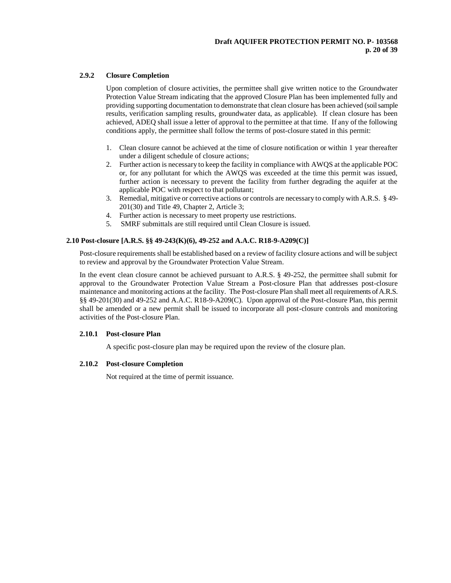# **2.9.2 Closure Completion**

Upon completion of closure activities, the permittee shall give written notice to the Groundwater Protection Value Stream indicating that the approved Closure Plan has been implemented fully and providing supporting documentation to demonstrate that clean closure has been achieved (soil sample results, verification sampling results, groundwater data, as applicable). If clean closure has been achieved, ADEQ shall issue a letter of approval to the permittee at that time. If any of the following conditions apply, the permittee shall follow the terms of post-closure stated in this permit:

- 1. Clean closure cannot be achieved at the time of closure notification or within 1 year thereafter under a diligent schedule of closure actions;
- 2. Further action is necessary to keep the facility in compliance with AWQS at the applicable POC or, for any pollutant for which the AWQS was exceeded at the time this permit was issued, further action is necessary to prevent the facility from further degrading the aquifer at the applicable POC with respect to that pollutant;
- 3. Remedial, mitigative or corrective actions or controls are necessary to comply with A.R.S. § 49- 201(30) and Title 49, Chapter 2, Article 3;
- 4. Further action is necessary to meet property use restrictions.
- 5. SMRF submittals are still required until Clean Closure is issued.

# **2.10 Post-closure [A.R.S. §§ 49-243(K)(6), 49-252 and A.A.C. R18-9-A209(C)]**

Post-closure requirements shall be established based on a review of facility closure actions and will be subject to review and approval by the Groundwater Protection Value Stream.

In the event clean closure cannot be achieved pursuant to A.R.S. § 49-252, the permittee shall submit for approval to the Groundwater Protection Value Stream a Post-closure Plan that addresses post-closure maintenance and monitoring actions at the facility. The Post-closure Plan shall meet all requirements of A.R.S. §§ 49-201(30) and 49-252 and A.A.C. R18-9-A209(C). Upon approval of the Post-closure Plan, this permit shall be amended or a new permit shall be issued to incorporate all post-closure controls and monitoring activities of the Post-closure Plan.

### **2.10.1 Post-closure Plan**

A specific post-closure plan may be required upon the review of the closure plan.

### **2.10.2 Post-closure Completion**

Not required at the time of permit issuance.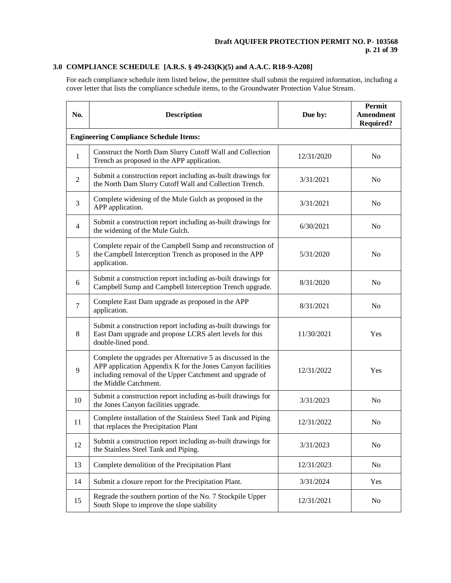# **3.0 COMPLIANCE SCHEDULE [A.R.S. § 49-243(K)(5) and A.A.C. R18-9-A208]**

For each compliance schedule item listed below, the permittee shall submit the required information, including a cover letter that lists the compliance schedule items, to the Groundwater Protection Value Stream.

| No.            | <b>Description</b>                                                                                                                                                                                            | Due by:    | <b>Permit</b><br>Amendment<br><b>Required?</b> |
|----------------|---------------------------------------------------------------------------------------------------------------------------------------------------------------------------------------------------------------|------------|------------------------------------------------|
|                | <b>Engineering Compliance Schedule Items:</b>                                                                                                                                                                 |            |                                                |
| 1              | Construct the North Dam Slurry Cutoff Wall and Collection<br>Trench as proposed in the APP application.                                                                                                       | 12/31/2020 | N <sub>o</sub>                                 |
| $\mathfrak{2}$ | Submit a construction report including as-built drawings for<br>the North Dam Slurry Cutoff Wall and Collection Trench.                                                                                       | 3/31/2021  | N <sub>o</sub>                                 |
| 3              | Complete widening of the Mule Gulch as proposed in the<br>APP application.                                                                                                                                    | 3/31/2021  | No                                             |
| 4              | Submit a construction report including as-built drawings for<br>the widening of the Mule Gulch.                                                                                                               | 6/30/2021  | N <sub>o</sub>                                 |
| 5              | Complete repair of the Campbell Sump and reconstruction of<br>the Campbell Interception Trench as proposed in the APP<br>application.                                                                         | 5/31/2020  | N <sub>0</sub>                                 |
| 6              | Submit a construction report including as-built drawings for<br>Campbell Sump and Campbell Interception Trench upgrade.                                                                                       | 8/31/2020  | N <sub>o</sub>                                 |
| 7              | Complete East Dam upgrade as proposed in the APP<br>application.                                                                                                                                              | 8/31/2021  | N <sub>o</sub>                                 |
| 8              | Submit a construction report including as-built drawings for<br>East Dam upgrade and propose LCRS alert levels for this<br>double-lined pond.                                                                 | 11/30/2021 | Yes                                            |
| 9              | Complete the upgrades per Alternative 5 as discussed in the<br>APP application Appendix K for the Jones Canyon facilities<br>including removal of the Upper Catchment and upgrade of<br>the Middle Catchment. | 12/31/2022 | Yes                                            |
| 10             | Submit a construction report including as-built drawings for<br>the Jones Canyon facilities upgrade.                                                                                                          | 3/31/2023  | N <sub>o</sub>                                 |
| 11             | Complete installation of the Stainless Steel Tank and Piping<br>that replaces the Precipitation Plant                                                                                                         | 12/31/2022 | N <sub>0</sub>                                 |
| 12             | Submit a construction report including as-built drawings for<br>the Stainless Steel Tank and Piping.                                                                                                          | 3/31/2023  | N <sub>o</sub>                                 |
| 13             | Complete demolition of the Precipitation Plant                                                                                                                                                                | 12/31/2023 | No                                             |
| 14             | Submit a closure report for the Precipitation Plant.                                                                                                                                                          | 3/31/2024  | Yes                                            |
| 15             | Regrade the southern portion of the No. 7 Stockpile Upper<br>South Slope to improve the slope stability                                                                                                       | 12/31/2021 | N <sub>o</sub>                                 |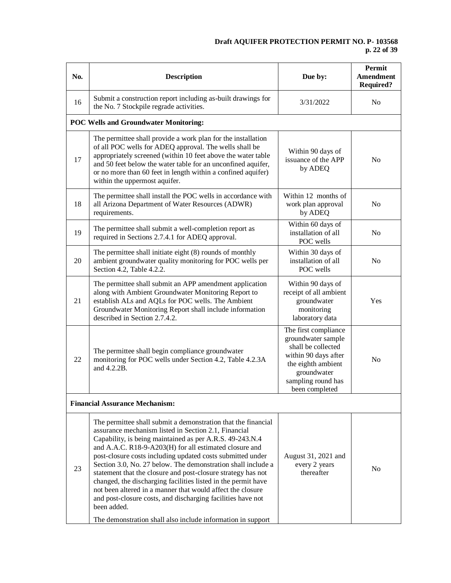# **Draft AQUIFER PROTECTION PERMIT NO. P- 103568 p. 22 of 39**

| No. | <b>Description</b>                                                                                                                                                                                                                                                                                                                                                                                                                                                                                                                                                                                                                                                                                                    | Due by:                                                                                                                                                               | Permit<br>Amendment<br><b>Required?</b> |
|-----|-----------------------------------------------------------------------------------------------------------------------------------------------------------------------------------------------------------------------------------------------------------------------------------------------------------------------------------------------------------------------------------------------------------------------------------------------------------------------------------------------------------------------------------------------------------------------------------------------------------------------------------------------------------------------------------------------------------------------|-----------------------------------------------------------------------------------------------------------------------------------------------------------------------|-----------------------------------------|
| 16  | Submit a construction report including as-built drawings for<br>the No. 7 Stockpile regrade activities.                                                                                                                                                                                                                                                                                                                                                                                                                                                                                                                                                                                                               | 3/31/2022                                                                                                                                                             | No                                      |
|     | <b>POC Wells and Groundwater Monitoring:</b>                                                                                                                                                                                                                                                                                                                                                                                                                                                                                                                                                                                                                                                                          |                                                                                                                                                                       |                                         |
| 17  | The permittee shall provide a work plan for the installation<br>of all POC wells for ADEQ approval. The wells shall be<br>appropriately screened (within 10 feet above the water table<br>and 50 feet below the water table for an unconfined aquifer,<br>or no more than 60 feet in length within a confined aquifer)<br>within the uppermost aquifer.                                                                                                                                                                                                                                                                                                                                                               | Within 90 days of<br>issuance of the APP<br>by ADEQ                                                                                                                   | N <sub>o</sub>                          |
| 18  | The permittee shall install the POC wells in accordance with<br>all Arizona Department of Water Resources (ADWR)<br>requirements.                                                                                                                                                                                                                                                                                                                                                                                                                                                                                                                                                                                     | Within 12 months of<br>work plan approval<br>by ADEQ                                                                                                                  | N <sub>o</sub>                          |
| 19  | The permittee shall submit a well-completion report as<br>required in Sections 2.7.4.1 for ADEQ approval.                                                                                                                                                                                                                                                                                                                                                                                                                                                                                                                                                                                                             | Within 60 days of<br>installation of all<br>POC wells                                                                                                                 | N <sub>o</sub>                          |
| 20  | The permittee shall initiate eight (8) rounds of monthly<br>ambient groundwater quality monitoring for POC wells per<br>Section 4.2, Table 4.2.2.                                                                                                                                                                                                                                                                                                                                                                                                                                                                                                                                                                     | Within 30 days of<br>installation of all<br>POC wells                                                                                                                 | N <sub>o</sub>                          |
| 21  | The permittee shall submit an APP amendment application<br>along with Ambient Groundwater Monitoring Report to<br>establish ALs and AQLs for POC wells. The Ambient<br>Groundwater Monitoring Report shall include information<br>described in Section 2.7.4.2.                                                                                                                                                                                                                                                                                                                                                                                                                                                       | Within 90 days of<br>receipt of all ambient<br>groundwater<br>monitoring<br>laboratory data                                                                           | Yes                                     |
| 22  | The permittee shall begin compliance groundwater<br>monitoring for POC wells under Section 4.2, Table 4.2.3A<br>and 4.2.2B.                                                                                                                                                                                                                                                                                                                                                                                                                                                                                                                                                                                           | The first compliance<br>groundwater sample<br>shall be collected<br>within 90 days after<br>the eighth ambient<br>groundwater<br>sampling round has<br>been completed | N <sub>0</sub>                          |
|     | <b>Financial Assurance Mechanism:</b>                                                                                                                                                                                                                                                                                                                                                                                                                                                                                                                                                                                                                                                                                 |                                                                                                                                                                       |                                         |
| 23  | The permittee shall submit a demonstration that the financial<br>assurance mechanism listed in Section 2.1, Financial<br>Capability, is being maintained as per A.R.S. 49-243.N.4<br>and A.A.C. R18-9-A203(H) for all estimated closure and<br>post-closure costs including updated costs submitted under<br>Section 3.0, No. 27 below. The demonstration shall include a<br>statement that the closure and post-closure strategy has not<br>changed, the discharging facilities listed in the permit have<br>not been altered in a manner that would affect the closure<br>and post-closure costs, and discharging facilities have not<br>been added.<br>The demonstration shall also include information in support | August 31, 2021 and<br>every 2 years<br>thereafter                                                                                                                    | N <sub>0</sub>                          |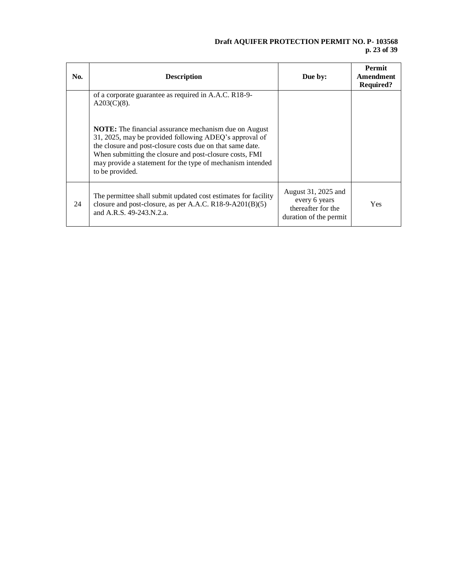# **Draft AQUIFER PROTECTION PERMIT NO. P- 103568 p. 23 of 39**

| No. | <b>Description</b>                                                                                                                                                                                                                                                                                                              | Due by:                                                                              | <b>Permit</b><br>Amendment<br><b>Required?</b> |
|-----|---------------------------------------------------------------------------------------------------------------------------------------------------------------------------------------------------------------------------------------------------------------------------------------------------------------------------------|--------------------------------------------------------------------------------------|------------------------------------------------|
|     | of a corporate guarantee as required in A.A.C. R18-9-<br>$A203(C)(8)$ .                                                                                                                                                                                                                                                         |                                                                                      |                                                |
|     | <b>NOTE:</b> The financial assurance mechanism due on August<br>31, 2025, may be provided following ADEQ's approval of<br>the closure and post-closure costs due on that same date.<br>When submitting the closure and post-closure costs, FMI<br>may provide a statement for the type of mechanism intended<br>to be provided. |                                                                                      |                                                |
| 24  | The permittee shall submit updated cost estimates for facility<br>closure and post-closure, as per A.A.C. R18-9-A201(B)(5)<br>and A.R.S. 49-243.N.2.a.                                                                                                                                                                          | August 31, 2025 and<br>every 6 years<br>thereafter for the<br>duration of the permit | <b>Yes</b>                                     |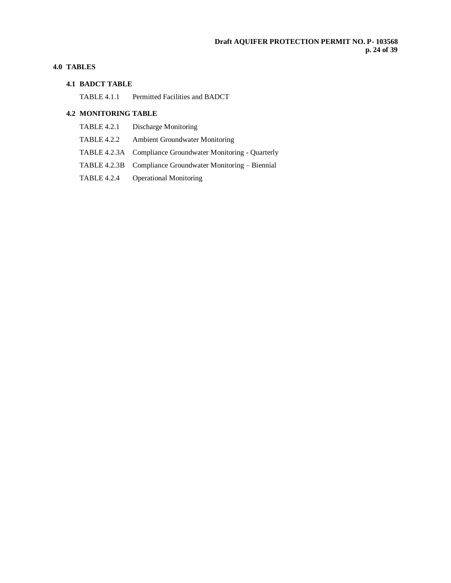# **4.0 TABLES**

### **4.1 BADCT TABLE**

TABLE 4.1.1 Permitted Facilities and BADCT

# **4.2 MONITORING TABLE**

- TABLE 4.2.1 Discharge Monitoring
- TABLE 4.2.2 Ambient Groundwater Monitoring
- TABLE 4.2.3A Compliance Groundwater Monitoring Quarterly
- TABLE 4.2.3B Compliance Groundwater Monitoring Biennial
- TABLE 4.2.4 Operational Monitoring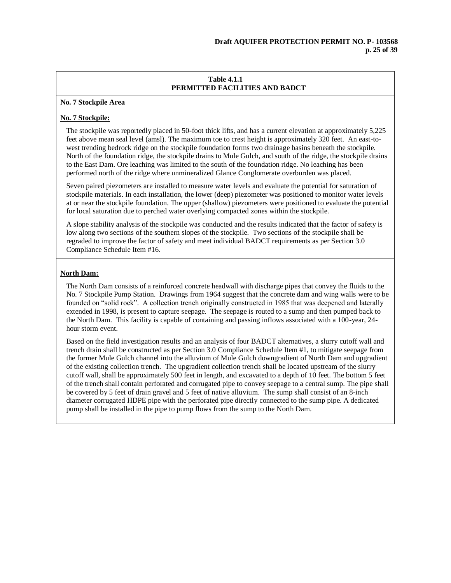### **No. 7 Stockpile Area**

# **No. 7 Stockpile:**

The stockpile was reportedly placed in 50-foot thick lifts, and has a current elevation at approximately 5,225 feet above mean seal level (amsl). The maximum toe to crest height is approximately 320 feet. An east-towest trending bedrock ridge on the stockpile foundation forms two drainage basins beneath the stockpile. North of the foundation ridge, the stockpile drains to Mule Gulch, and south of the ridge, the stockpile drains to the East Dam. Ore leaching was limited to the south of the foundation ridge. No leaching has been performed north of the ridge where unmineralized Glance Conglomerate overburden was placed.

Seven paired piezometers are installed to measure water levels and evaluate the potential for saturation of stockpile materials. In each installation, the lower (deep) piezometer was positioned to monitor water levels at or near the stockpile foundation. The upper (shallow) piezometers were positioned to evaluate the potential for local saturation due to perched water overlying compacted zones within the stockpile.

A slope stability analysis of the stockpile was conducted and the results indicated that the factor of safety is low along two sections of the southern slopes of the stockpile. Two sections of the stockpile shall be regraded to improve the factor of safety and meet individual BADCT requirements as per Section 3.0 Compliance Schedule Item #16.

# **North Dam:**

The North Dam consists of a reinforced concrete headwall with discharge pipes that convey the fluids to the No. 7 Stockpile Pump Station. Drawings from 1964 suggest that the concrete dam and wing walls were to be founded on "solid rock". A collection trench originally constructed in 1985 that was deepened and laterally extended in 1998, is present to capture seepage. The seepage is routed to a sump and then pumped back to the North Dam. This facility is capable of containing and passing inflows associated with a 100-year, 24 hour storm event.

Based on the field investigation results and an analysis of four BADCT alternatives, a slurry cutoff wall and trench drain shall be constructed as per Section 3.0 Compliance Schedule Item #1, to mitigate seepage from the former Mule Gulch channel into the alluvium of Mule Gulch downgradient of North Dam and upgradient of the existing collection trench. The upgradient collection trench shall be located upstream of the slurry cutoff wall, shall be approximately 500 feet in length, and excavated to a depth of 10 feet. The bottom 5 feet of the trench shall contain perforated and corrugated pipe to convey seepage to a central sump. The pipe shall be covered by 5 feet of drain gravel and 5 feet of native alluvium. The sump shall consist of an 8-inch diameter corrugated HDPE pipe with the perforated pipe directly connected to the sump pipe. A dedicated pump shall be installed in the pipe to pump flows from the sump to the North Dam.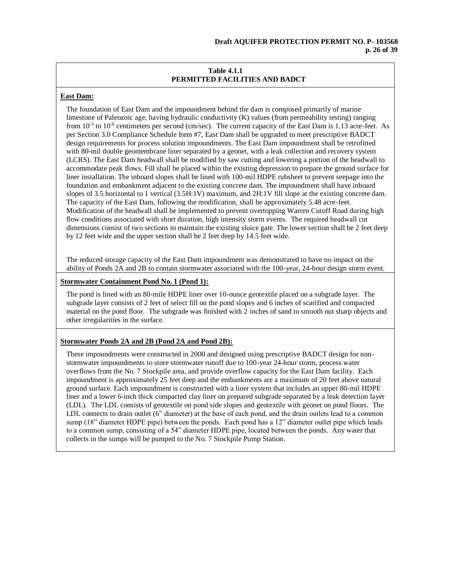# **East Dam:**

The foundation of East Dam and the impoundment behind the dam is composed primarily of marine limestone of Paleozoic age, having hydraulic conductivity (K) values (from permeability testing) ranging from 10<sup>-3</sup> to 10<sup>-6</sup> centimeters per second (cm/sec). The current capacity of the East Dam is 1.13 acre-feet. As per Section 3.0 Compliance Schedule Item #7, East Dam shall be upgraded to meet prescriptive BADCT design requirements for process solution impoundments. The East Dam impoundment shall be retrofitted with 80-mil double geomembrane liner separated by a geonet, with a leak collection and recovery system (LCRS). The East Dam headwall shall be modified by saw cutting and lowering a portion of the headwall to accommodate peak flows. Fill shall be placed within the existing depression to prepare the ground surface for liner installation. The inboard slopes shall be lined with 100-mil HDPE rubsheet to prevent seepage into the foundation and embankment adjacent to the existing concrete dam. The impoundment shall have inboard slopes of 3.5 horizontal to 1 vertical (3.5H:1V) maximum, and 2H:1V fill slope at the existing concrete dam. The capacity of the East Dam, following the modification, shall be approximately 5.48 acre-feet. Modification of the headwall shall be implemented to prevent overtopping Warren Cutoff Road during high flow conditions associated with short duration, high intensity storm events. The required headwall cut dimensions consist of two sections to maintain the existing sluice gate. The lower section shall be 2 feet deep by 12 feet wide and the upper section shall be 2 feet deep by 14.5 feet wide.

The reduced storage capacity of the East Dam impoundment was demonstrated to have no impact on the ability of Ponds 2A and 2B to contain stormwater associated with the 100-year, 24-hour design storm event.

# **Stormwater Containment Pond No. 1 (Pond 1):**

The pond is lined with an 80-mile HDPE liner over 10-ounce geotextile placed on a subgrade layer. The subgrade layer consists of 2 feet of select fill on the pond slopes and 6 inches of scarified and compacted material on the pond floor. The subgrade was finished with 2 inches of sand to smooth out sharp objects and other irregularities in the surface.

### **Stormwater Ponds 2A and 2B (Pond 2A and Pond 2B):**

These impoundments were constructed in 2000 and designed using prescriptive BADCT design for nonstormwater impoundments to store stormwater runoff due to 100-year 24-hour storm, process water overflows from the No. 7 Stockpile area, and provide overflow capacity for the East Dam facility. Each impoundment is approximately 25 feet deep and the embankments are a maximum of 20 feet above natural ground surface. Each impoundment is constructed with a liner system that includes an upper 80-mil HDPE liner and a lower 6-inch thick compacted clay liner on prepared subgrade separated by a leak detection layer (LDL). The LDL consists of geotextile on pond side slopes and geotextile with geonet on pond floors. The LDL connects to drain outlet (6" diameter) at the base of each pond, and the drain outlets lead to a common sump (18" diameter HDPE pipe) between the ponds. Each pond has a 12" diameter outlet pipe which leads to a common sump, consisting of a 54" diameter HDPE pipe, located between the ponds. Any water that collects in the sumps will be pumped to the No. 7 Stockpile Pump Station.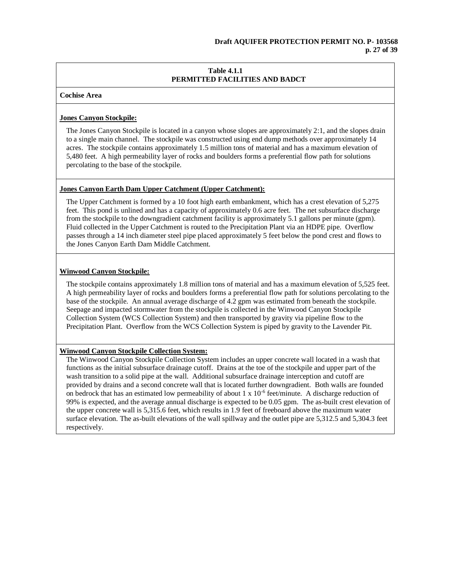# **Cochise Area**

# **Jones Canyon Stockpile:**

The Jones Canyon Stockpile is located in a canyon whose slopes are approximately 2:1, and the slopes drain to a single main channel. The stockpile was constructed using end dump methods over approximately 14 acres. The stockpile contains approximately 1.5 million tons of material and has a maximum elevation of 5,480 feet. A high permeability layer of rocks and boulders forms a preferential flow path for solutions percolating to the base of the stockpile.

# **Jones Canyon Earth Dam Upper Catchment (Upper Catchment):**

The Upper Catchment is formed by a 10 foot high earth embankment, which has a crest elevation of 5,275 feet. This pond is unlined and has a capacity of approximately 0.6 acre feet. The net subsurface discharge from the stockpile to the downgradient catchment facility is approximately 5.1 gallons per minute (gpm). Fluid collected in the Upper Catchment is routed to the Precipitation Plant via an HDPE pipe. Overflow passes through a 14 inch diameter steel pipe placed approximately 5 feet below the pond crest and flows to the Jones Canyon Earth Dam Middle Catchment.

# **Winwood Canyon Stockpile:**

The stockpile contains approximately 1.8 million tons of material and has a maximum elevation of 5,525 feet. A high permeability layer of rocks and boulders forms a preferential flow path for solutions percolating to the base of the stockpile. An annual average discharge of 4.2 gpm was estimated from beneath the stockpile. Seepage and impacted stormwater from the stockpile is collected in the Winwood Canyon Stockpile Collection System (WCS Collection System) and then transported by gravity via pipeline flow to the Precipitation Plant. Overflow from the WCS Collection System is piped by gravity to the Lavender Pit.

# **Winwood Canyon Stockpile Collection System:**

The Winwood Canyon Stockpile Collection System includes an upper concrete wall located in a wash that functions as the initial subsurface drainage cutoff. Drains at the toe of the stockpile and upper part of the wash transition to a solid pipe at the wall. Additional subsurface drainage interception and cutoff are provided by drains and a second concrete wall that is located further downgradient. Both walls are founded on bedrock that has an estimated low permeability of about  $1 \times 10^{-6}$  feet/minute. A discharge reduction of 99% is expected, and the average annual discharge is expected to be 0.05 gpm. The as-built crest elevation of the upper concrete wall is 5,315.6 feet, which results in 1.9 feet of freeboard above the maximum water surface elevation. The as-built elevations of the wall spillway and the outlet pipe are 5,312.5 and 5,304.3 feet respectively.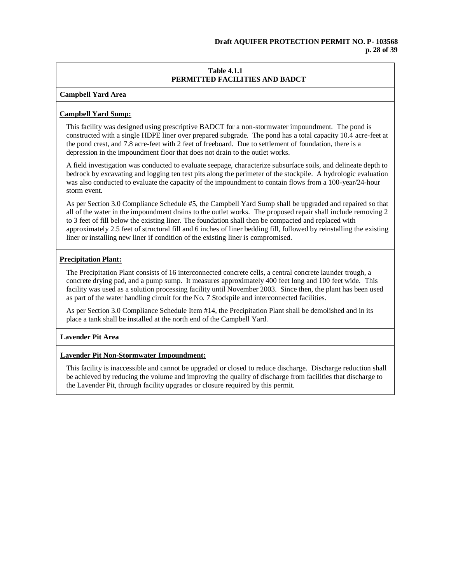**Campbell Yard Area**

# **Campbell Yard Sump:**

This facility was designed using prescriptive BADCT for a non-stormwater impoundment. The pond is constructed with a single HDPE liner over prepared subgrade. The pond has a total capacity 10.4 acre-feet at the pond crest, and 7.8 acre-feet with 2 feet of freeboard. Due to settlement of foundation, there is a depression in the impoundment floor that does not drain to the outlet works.

A field investigation was conducted to evaluate seepage, characterize subsurface soils, and delineate depth to bedrock by excavating and logging ten test pits along the perimeter of the stockpile. A hydrologic evaluation was also conducted to evaluate the capacity of the impoundment to contain flows from a 100-year/24-hour storm event.

As per Section 3.0 Compliance Schedule #5, the Campbell Yard Sump shall be upgraded and repaired so that all of the water in the impoundment drains to the outlet works. The proposed repair shall include removing 2 to 3 feet of fill below the existing liner. The foundation shall then be compacted and replaced with approximately 2.5 feet of structural fill and 6 inches of liner bedding fill, followed by reinstalling the existing liner or installing new liner if condition of the existing liner is compromised.

# **Precipitation Plant:**

The Precipitation Plant consists of 16 interconnected concrete cells, a central concrete launder trough, a concrete drying pad, and a pump sump. It measures approximately 400 feet long and 100 feet wide. This facility was used as a solution processing facility until November 2003. Since then, the plant has been used as part of the water handling circuit for the No. 7 Stockpile and interconnected facilities.

As per Section 3.0 Compliance Schedule Item #14, the Precipitation Plant shall be demolished and in its place a tank shall be installed at the north end of the Campbell Yard.

# **Lavender Pit Area**

# **Lavender Pit Non-Stormwater Impoundment:**

This facility is inaccessible and cannot be upgraded or closed to reduce discharge. Discharge reduction shall be achieved by reducing the volume and improving the quality of discharge from facilities that discharge to the Lavender Pit, through facility upgrades or closure required by this permit.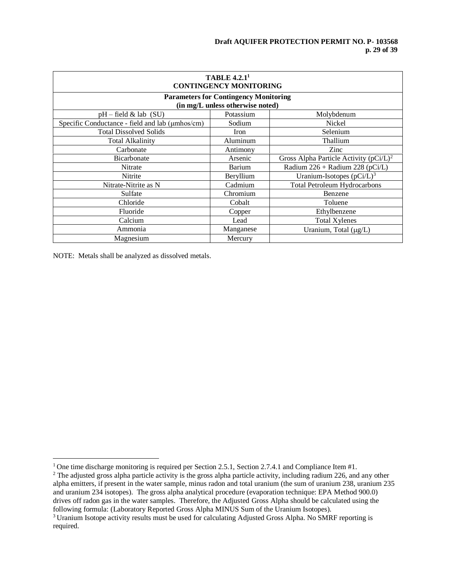# **Draft AQUIFER PROTECTION PERMIT NO. P- 103568 p. 29 of 39**

| <b>TABLE 4.2.11</b><br><b>CONTINGENCY MONITORING</b> |                                  |                                           |  |  |
|------------------------------------------------------|----------------------------------|-------------------------------------------|--|--|
| <b>Parameters for Contingency Monitoring</b>         |                                  |                                           |  |  |
|                                                      | (in mg/L unless otherwise noted) |                                           |  |  |
| $pH$ – field & lab (SU)                              | Potassium                        | Molybdenum                                |  |  |
| Specific Conductance - field and lab (µmhos/cm)      | Sodium                           | Nickel                                    |  |  |
| <b>Total Dissolved Solids</b>                        | Iron                             | Selenium                                  |  |  |
| <b>Total Alkalinity</b>                              | Aluminum                         | Thallium                                  |  |  |
| Carbonate                                            | Antimony                         | Zinc                                      |  |  |
| Bicarbonate                                          | Arsenic                          | Gross Alpha Particle Activity $(pCi/L)^2$ |  |  |
| Nitrate                                              | Barium                           | Radium 226 + Radium 228 (pCi/L)           |  |  |
| Nitrite                                              | Beryllium                        | Uranium-Isotopes $(pCi/L)^3$              |  |  |
| Nitrate-Nitrite as N                                 | Cadmium                          | <b>Total Petroleum Hydrocarbons</b>       |  |  |
| Sulfate                                              | Chromium                         | Benzene                                   |  |  |
| Chloride                                             | Cobalt                           | Toluene                                   |  |  |
| Fluoride                                             | Copper                           | Ethylbenzene                              |  |  |
| Calcium                                              | Lead                             | <b>Total Xylenes</b>                      |  |  |
| Ammonia                                              | Manganese                        | Uranium, Total (µg/L)                     |  |  |
| Magnesium                                            | Mercury                          |                                           |  |  |

NOTE: Metals shall be analyzed as dissolved metals.

<sup>&</sup>lt;sup>1</sup> One time discharge monitoring is required per Section 2.5.1, Section 2.7.4.1 and Compliance Item #1.

<sup>&</sup>lt;sup>2</sup> The adjusted gross alpha particle activity is the gross alpha particle activity, including radium 226, and any other alpha emitters, if present in the water sample, minus radon and total uranium (the sum of uranium 238, uranium 235 and uranium 234 isotopes). The gross alpha analytical procedure (evaporation technique: EPA Method 900.0) drives off radon gas in the water samples. Therefore, the Adjusted Gross Alpha should be calculated using the following formula: (Laboratory Reported Gross Alpha MINUS Sum of the Uranium Isotopes).

<sup>&</sup>lt;sup>3</sup> Uranium Isotope activity results must be used for calculating Adjusted Gross Alpha. No SMRF reporting is required.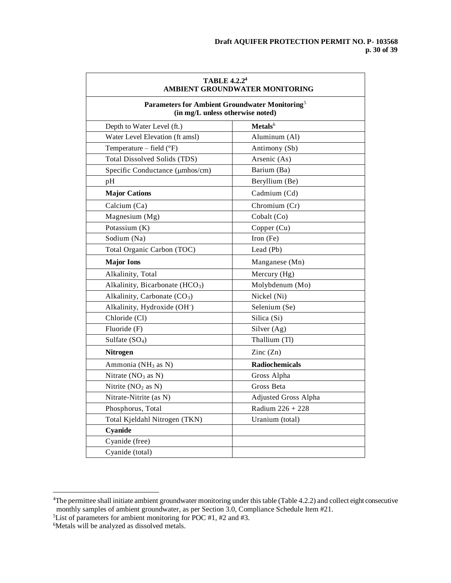| <b>TABLE 4.2.24</b><br>AMBIENT GROUNDWATER MONITORING<br>Parameters for Ambient Groundwater Monitoring <sup>5</sup><br>(in mg/L unless otherwise noted) |                       |  |
|---------------------------------------------------------------------------------------------------------------------------------------------------------|-----------------------|--|
|                                                                                                                                                         |                       |  |
| Water Level Elevation (ft amsl)                                                                                                                         | Aluminum (Al)         |  |
| Temperature - field (°F)                                                                                                                                | Antimony (Sb)         |  |
| <b>Total Dissolved Solids (TDS)</b>                                                                                                                     | Arsenic (As)          |  |
| Specific Conductance (µmhos/cm)                                                                                                                         | Barium (Ba)           |  |
| pH                                                                                                                                                      | Beryllium (Be)        |  |
| <b>Major Cations</b>                                                                                                                                    | Cadmium (Cd)          |  |
| Calcium (Ca)                                                                                                                                            | Chromium (Cr)         |  |
| Magnesium (Mg)                                                                                                                                          | Cobalt (Co)           |  |
| Potassium (K)                                                                                                                                           | Copper (Cu)           |  |
| Sodium (Na)                                                                                                                                             | Iron (Fe)             |  |
| Total Organic Carbon (TOC)                                                                                                                              | Lead (Pb)             |  |
| <b>Major Ions</b>                                                                                                                                       | Manganese (Mn)        |  |
| Alkalinity, Total                                                                                                                                       | Mercury (Hg)          |  |
| Alkalinity, Bicarbonate (HCO <sub>3</sub> )                                                                                                             | Molybdenum (Mo)       |  |
| Alkalinity, Carbonate (CO <sub>3</sub> )                                                                                                                | Nickel (Ni)           |  |
| Alkalinity, Hydroxide (OH <sup>-</sup> )                                                                                                                | Selenium (Se)         |  |
| Chloride (Cl)                                                                                                                                           | Silica (Si)           |  |
| Fluoride (F)                                                                                                                                            | Silver (Ag)           |  |
| Sulfate $(SO4)$                                                                                                                                         | Thallium (Tl)         |  |
| <b>Nitrogen</b>                                                                                                                                         | Zinc $(Zn)$           |  |
| Ammonia (NH <sub>3</sub> as N)                                                                                                                          | <b>Radiochemicals</b> |  |
| Nitrate $(NO3 as N)$                                                                                                                                    | Gross Alpha           |  |
| Nitrite $(NO2 as N)$                                                                                                                                    | Gross Beta            |  |
| Nitrate-Nitrite (as N)                                                                                                                                  | Adjusted Gross Alpha  |  |
| Phosphorus, Total                                                                                                                                       | Radium $226 + 228$    |  |
| Total Kjeldahl Nitrogen (TKN)                                                                                                                           | Uranium (total)       |  |
| Cyanide                                                                                                                                                 |                       |  |
| Cyanide (free)                                                                                                                                          |                       |  |
| Cyanide (total)                                                                                                                                         |                       |  |

<sup>4</sup>The permittee shall initiate ambient groundwater monitoring under this table (Table 4.2.2) and collect eight consecutive monthly samples of ambient groundwater, as per Section 3.0, Compliance Schedule Item #21.

<sup>5</sup>List of parameters for ambient monitoring for POC #1, #2 and #3.

<sup>&</sup>lt;sup>6</sup>Metals will be analyzed as dissolved metals.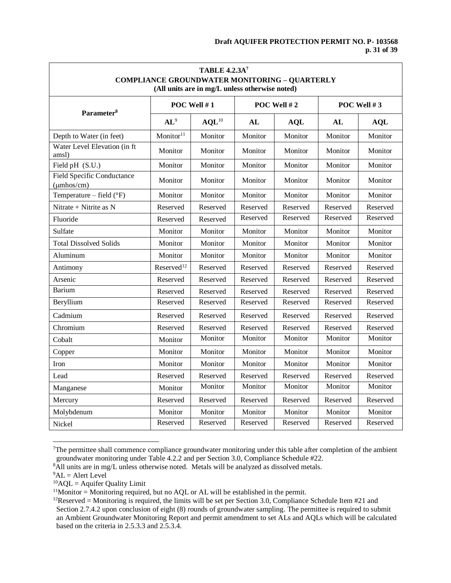# **Draft AQUIFER PROTECTION PERMIT NO. P- 103568 p. 31 of 39**

| <b>TABLE 4.2.3A</b> 7<br><b>COMPLIANCE GROUNDWATER MONITORING - QUARTERLY</b><br>(All units are in mg/L unless otherwise noted) |                        |                   |          |             |          |             |  |
|---------------------------------------------------------------------------------------------------------------------------------|------------------------|-------------------|----------|-------------|----------|-------------|--|
| Parameter <sup>8</sup>                                                                                                          |                        | POC Well #1       |          | POC Well #2 |          | POC Well #3 |  |
|                                                                                                                                 | $AL^9$                 | AQL <sup>10</sup> | AL       | <b>AQL</b>  | AL       | <b>AQL</b>  |  |
| Depth to Water (in feet)                                                                                                        | Monitor <sup>11</sup>  | Monitor           | Monitor  | Monitor     | Monitor  | Monitor     |  |
| Water Level Elevation (in ft<br>amsl)                                                                                           | Monitor                | Monitor           | Monitor  | Monitor     | Monitor  | Monitor     |  |
| Field pH (S.U.)                                                                                                                 | Monitor                | Monitor           | Monitor  | Monitor     | Monitor  | Monitor     |  |
| <b>Field Specific Conductance</b><br>$(\mu m \text{hos/cm})$                                                                    | Monitor                | Monitor           | Monitor  | Monitor     | Monitor  | Monitor     |  |
| Temperature – field $(^{\circ}F)$                                                                                               | Monitor                | Monitor           | Monitor  | Monitor     | Monitor  | Monitor     |  |
| Nitrate + Nitrite as N                                                                                                          | Reserved               | Reserved          | Reserved | Reserved    | Reserved | Reserved    |  |
| Fluoride                                                                                                                        | Reserved               | Reserved          | Reserved | Reserved    | Reserved | Reserved    |  |
| Sulfate                                                                                                                         | Monitor                | Monitor           | Monitor  | Monitor     | Monitor  | Monitor     |  |
| <b>Total Dissolved Solids</b>                                                                                                   | Monitor                | Monitor           | Monitor  | Monitor     | Monitor  | Monitor     |  |
| Aluminum                                                                                                                        | Monitor                | Monitor           | Monitor  | Monitor     | Monitor  | Monitor     |  |
| Antimony                                                                                                                        | Reserved <sup>12</sup> | Reserved          | Reserved | Reserved    | Reserved | Reserved    |  |
| Arsenic                                                                                                                         | Reserved               | Reserved          | Reserved | Reserved    | Reserved | Reserved    |  |
| <b>Barium</b>                                                                                                                   | Reserved               | Reserved          | Reserved | Reserved    | Reserved | Reserved    |  |
| Beryllium                                                                                                                       | Reserved               | Reserved          | Reserved | Reserved    | Reserved | Reserved    |  |
| Cadmium                                                                                                                         | Reserved               | Reserved          | Reserved | Reserved    | Reserved | Reserved    |  |
| Chromium                                                                                                                        | Reserved               | Reserved          | Reserved | Reserved    | Reserved | Reserved    |  |
| Cobalt                                                                                                                          | Monitor                | Monitor           | Monitor  | Monitor     | Monitor  | Monitor     |  |
| Copper                                                                                                                          | Monitor                | Monitor           | Monitor  | Monitor     | Monitor  | Monitor     |  |
| Iron                                                                                                                            | Monitor                | Monitor           | Monitor  | Monitor     | Monitor  | Monitor     |  |
| Lead                                                                                                                            | Reserved               | Reserved          | Reserved | Reserved    | Reserved | Reserved    |  |
| Manganese                                                                                                                       | Monitor                | Monitor           | Monitor  | Monitor     | Monitor  | Monitor     |  |
| Mercury                                                                                                                         | Reserved               | Reserved          | Reserved | Reserved    | Reserved | Reserved    |  |
| Molybdenum                                                                                                                      | Monitor                | Monitor           | Monitor  | Monitor     | Monitor  | Monitor     |  |
| Nickel                                                                                                                          | Reserved               | Reserved          | Reserved | Reserved    | Reserved | Reserved    |  |

 $7$ The permittee shall commence compliance groundwater monitoring under this table after completion of the ambient groundwater monitoring under Table 4.2.2 and per Section 3.0, Compliance Schedule #22.

<sup>&</sup>lt;sup>8</sup>All units are in mg/L unless otherwise noted. Metals will be analyzed as dissolved metals.

 $^{9}$ AL = Alert Level

 ${}^{10}$ AQL = Aquifer Quality Limit

 $11$ Monitor = Monitoring required, but no AQL or AL will be established in the permit.

<sup>&</sup>lt;sup>12</sup>Reserved = Monitoring is required, the limits will be set per Section 3.0, Compliance Schedule Item #21 and Section 2.7.4.2 upon conclusion of eight (8) rounds of groundwater sampling. The permittee is required to submit an Ambient Groundwater Monitoring Report and permit amendment to set ALs and AQLs which will be calculated based on the criteria in 2.5.3.3 and 2.5.3.4.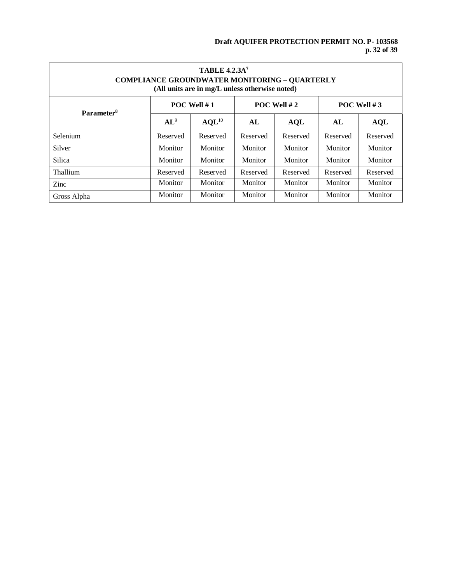# **Draft AQUIFER PROTECTION PERMIT NO. P- 103568 p. 32 of 39**

| <b>TABLE 4.2.3A</b> 7<br><b>COMPLIANCE GROUNDWATER MONITORING - QUARTERLY</b><br>(All units are in mg/L unless otherwise noted) |               |                   |               |            |               |            |
|---------------------------------------------------------------------------------------------------------------------------------|---------------|-------------------|---------------|------------|---------------|------------|
| Parameter <sup>8</sup>                                                                                                          | POC Well $#1$ |                   | POC Well $#2$ |            | POC Well $#3$ |            |
|                                                                                                                                 | $AL^9$        | AQL <sup>10</sup> | AL            | <b>AQL</b> | AL            | <b>AQL</b> |
| Selenium                                                                                                                        | Reserved      | Reserved          | Reserved      | Reserved   | Reserved      | Reserved   |
| Silver                                                                                                                          | Monitor       | Monitor           | Monitor       | Monitor    | Monitor       | Monitor    |
| Silica                                                                                                                          | Monitor       | Monitor           | Monitor       | Monitor    | Monitor       | Monitor    |
| Thallium                                                                                                                        | Reserved      | Reserved          | Reserved      | Reserved   | Reserved      | Reserved   |
| Zinc                                                                                                                            | Monitor       | Monitor           | Monitor       | Monitor    | Monitor       | Monitor    |
| Gross Alpha                                                                                                                     | Monitor       | Monitor           | Monitor       | Monitor    | Monitor       | Monitor    |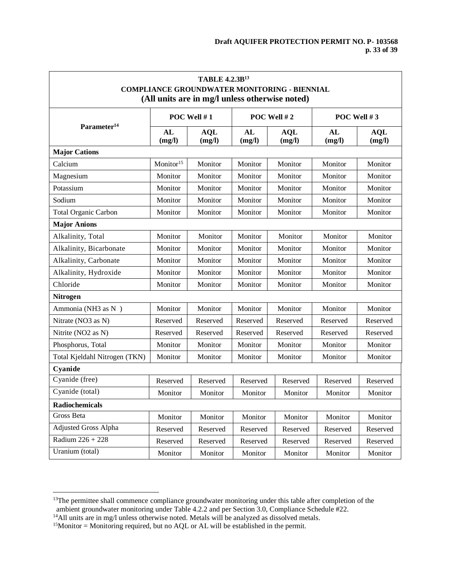| <b>TABLE 4.2.3B13</b><br><b>COMPLIANCE GROUNDWATER MONITORING - BIENNIAL</b><br>(All units are in mg/l unless otherwise noted) |                       |                      |              |                      |               |                      |
|--------------------------------------------------------------------------------------------------------------------------------|-----------------------|----------------------|--------------|----------------------|---------------|----------------------|
|                                                                                                                                | POC Well $#1$         |                      | POC Well #2  |                      | POC Well $#3$ |                      |
| Parameter <sup>14</sup>                                                                                                        | AL<br>(mg/l)          | <b>AQL</b><br>(mg/l) | AL<br>(mg/l) | <b>AQL</b><br>(mg/l) | AL<br>(mg/l)  | <b>AQL</b><br>(mg/l) |
| <b>Major Cations</b>                                                                                                           |                       |                      |              |                      |               |                      |
| Calcium                                                                                                                        | Monitor <sup>15</sup> | Monitor              | Monitor      | Monitor              | Monitor       | Monitor              |
| Magnesium                                                                                                                      | Monitor               | Monitor              | Monitor      | Monitor              | Monitor       | Monitor              |
| Potassium                                                                                                                      | Monitor               | Monitor              | Monitor      | Monitor              | Monitor       | Monitor              |
| Sodium                                                                                                                         | Monitor               | Monitor              | Monitor      | Monitor              | Monitor       | Monitor              |
| <b>Total Organic Carbon</b>                                                                                                    | Monitor               | Monitor              | Monitor      | Monitor              | Monitor       | Monitor              |
| <b>Major Anions</b>                                                                                                            |                       |                      |              |                      |               |                      |
| Alkalinity, Total                                                                                                              | Monitor               | Monitor              | Monitor      | Monitor              | Monitor       | Monitor              |
| Alkalinity, Bicarbonate                                                                                                        | Monitor               | Monitor              | Monitor      | Monitor              | Monitor       | Monitor              |
| Alkalinity, Carbonate                                                                                                          | Monitor               | Monitor              | Monitor      | Monitor              | Monitor       | Monitor              |
| Alkalinity, Hydroxide                                                                                                          | Monitor               | Monitor              | Monitor      | Monitor              | Monitor       | Monitor              |
| Chloride                                                                                                                       | Monitor               | Monitor              | Monitor      | Monitor              | Monitor       | Monitor              |
| <b>Nitrogen</b>                                                                                                                |                       |                      |              |                      |               |                      |
| Ammonia (NH3 as N)                                                                                                             | Monitor               | Monitor              | Monitor      | Monitor              | Monitor       | Monitor              |
| Nitrate (NO3 as N)                                                                                                             | Reserved              | Reserved             | Reserved     | Reserved             | Reserved      | Reserved             |
| Nitrite (NO2 as N)                                                                                                             | Reserved              | Reserved             | Reserved     | Reserved             | Reserved      | Reserved             |
| Phosphorus, Total                                                                                                              | Monitor               | Monitor              | Monitor      | Monitor              | Monitor       | Monitor              |
| Total Kjeldahl Nitrogen (TKN)                                                                                                  | Monitor               | Monitor              | Monitor      | Monitor              | Monitor       | Monitor              |
| Cyanide                                                                                                                        |                       |                      |              |                      |               |                      |
| Cyanide (free)                                                                                                                 | Reserved              | Reserved             | Reserved     | Reserved             | Reserved      | Reserved             |
| Cyanide (total)                                                                                                                | Monitor               | Monitor              | Monitor      | Monitor              | Monitor       | Monitor              |
| <b>Radiochemicals</b>                                                                                                          |                       |                      |              |                      |               |                      |
| Gross Beta                                                                                                                     | Monitor               | Monitor              | Monitor      | Monitor              | Monitor       | Monitor              |
| <b>Adjusted Gross Alpha</b>                                                                                                    | Reserved              | Reserved             | Reserved     | Reserved             | Reserved      | Reserved             |
| Radium 226 + 228                                                                                                               | Reserved              | Reserved             | Reserved     | Reserved             | Reserved      | Reserved             |
| Uranium (total)                                                                                                                | Monitor               | Monitor              | Monitor      | Monitor              | Monitor       | Monitor              |

 $13$ The permittee shall commence compliance groundwater monitoring under this table after completion of the ambient groundwater monitoring under Table 4.2.2 and per Section 3.0, Compliance Schedule #22.

<sup>&</sup>lt;sup>14</sup>All units are in mg/l unless otherwise noted. Metals will be analyzed as dissolved metals.

 $15$ Monitor = Monitoring required, but no AQL or AL will be established in the permit.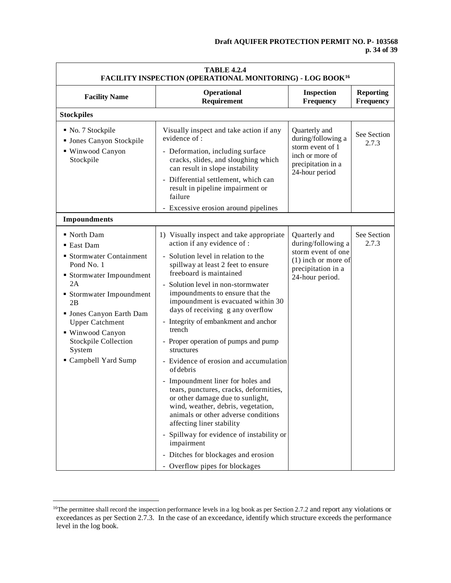# **Draft AQUIFER PROTECTION PERMIT NO. P- 103568 p. 34 of 39**

| Operational<br><b>Inspection</b><br><b>Reporting</b><br><b>Facility Name</b><br>Requirement<br>Frequency<br>Frequency<br><b>Stockpiles</b><br>No. 7 Stockpile<br>Visually inspect and take action if any<br>Quarterly and<br>See Section<br>evidence of:<br>during/following a<br><b>If</b> Jones Canyon Stockpile<br>2.7.3<br>storm event of 1<br>■ Winwood Canyon<br>- Deformation, including surface<br>inch or more of<br>Stockpile<br>cracks, slides, and sloughing which<br>precipitation in a<br>can result in slope instability<br>24-hour period<br>- Differential settlement, which can<br>result in pipeline impairment or<br>failure<br>- Excessive erosion around pipelines<br><b>Impoundments</b><br>See Section<br>North Dam<br>1) Visually inspect and take appropriate<br>Quarterly and<br>action if any evidence of :<br>during/following a<br>2.7.3<br>■ East Dam<br>storm event of one<br>■ Stormwater Containment<br>Solution level in relation to the<br>$(1)$ inch or more of<br>Pond No. 1<br>spillway at least 2 feet to ensure<br>precipitation in a<br>freeboard is maintained<br>• Stormwater Impoundment<br>24-hour period.<br>2A<br>Solution level in non-stormwater<br>impoundments to ensure that the<br>• Stormwater Impoundment<br>impoundment is evacuated within 30<br>2B<br>days of receiving g any overflow<br><b>Jones Canyon Earth Dam</b><br>- Integrity of embankment and anchor<br><b>Upper Catchment</b><br>trench<br>■ Winwood Canyon<br>Stockpile Collection<br>- Proper operation of pumps and pump<br>System<br>structures<br>Campbell Yard Sump<br>- Evidence of erosion and accumulation<br>of debris<br>- Impoundment liner for holes and<br>tears, punctures, cracks, deformities,<br>or other damage due to sunlight,<br>wind, weather, debris, vegetation,<br>animals or other adverse conditions<br>affecting liner stability<br>Spillway for evidence of instability or<br>impairment | <b>TABLE 4.2.4</b><br>FACILITY INSPECTION (OPERATIONAL MONITORING) - LOG BOOK <sup>16</sup> |                                     |  |  |  |
|-----------------------------------------------------------------------------------------------------------------------------------------------------------------------------------------------------------------------------------------------------------------------------------------------------------------------------------------------------------------------------------------------------------------------------------------------------------------------------------------------------------------------------------------------------------------------------------------------------------------------------------------------------------------------------------------------------------------------------------------------------------------------------------------------------------------------------------------------------------------------------------------------------------------------------------------------------------------------------------------------------------------------------------------------------------------------------------------------------------------------------------------------------------------------------------------------------------------------------------------------------------------------------------------------------------------------------------------------------------------------------------------------------------------------------------------------------------------------------------------------------------------------------------------------------------------------------------------------------------------------------------------------------------------------------------------------------------------------------------------------------------------------------------------------------------------------------------------------------------------------------------------------------------------------------------------------|---------------------------------------------------------------------------------------------|-------------------------------------|--|--|--|
|                                                                                                                                                                                                                                                                                                                                                                                                                                                                                                                                                                                                                                                                                                                                                                                                                                                                                                                                                                                                                                                                                                                                                                                                                                                                                                                                                                                                                                                                                                                                                                                                                                                                                                                                                                                                                                                                                                                                               |                                                                                             |                                     |  |  |  |
|                                                                                                                                                                                                                                                                                                                                                                                                                                                                                                                                                                                                                                                                                                                                                                                                                                                                                                                                                                                                                                                                                                                                                                                                                                                                                                                                                                                                                                                                                                                                                                                                                                                                                                                                                                                                                                                                                                                                               |                                                                                             |                                     |  |  |  |
|                                                                                                                                                                                                                                                                                                                                                                                                                                                                                                                                                                                                                                                                                                                                                                                                                                                                                                                                                                                                                                                                                                                                                                                                                                                                                                                                                                                                                                                                                                                                                                                                                                                                                                                                                                                                                                                                                                                                               |                                                                                             |                                     |  |  |  |
|                                                                                                                                                                                                                                                                                                                                                                                                                                                                                                                                                                                                                                                                                                                                                                                                                                                                                                                                                                                                                                                                                                                                                                                                                                                                                                                                                                                                                                                                                                                                                                                                                                                                                                                                                                                                                                                                                                                                               |                                                                                             |                                     |  |  |  |
|                                                                                                                                                                                                                                                                                                                                                                                                                                                                                                                                                                                                                                                                                                                                                                                                                                                                                                                                                                                                                                                                                                                                                                                                                                                                                                                                                                                                                                                                                                                                                                                                                                                                                                                                                                                                                                                                                                                                               |                                                                                             |                                     |  |  |  |
|                                                                                                                                                                                                                                                                                                                                                                                                                                                                                                                                                                                                                                                                                                                                                                                                                                                                                                                                                                                                                                                                                                                                                                                                                                                                                                                                                                                                                                                                                                                                                                                                                                                                                                                                                                                                                                                                                                                                               |                                                                                             |                                     |  |  |  |
|                                                                                                                                                                                                                                                                                                                                                                                                                                                                                                                                                                                                                                                                                                                                                                                                                                                                                                                                                                                                                                                                                                                                                                                                                                                                                                                                                                                                                                                                                                                                                                                                                                                                                                                                                                                                                                                                                                                                               |                                                                                             |                                     |  |  |  |
|                                                                                                                                                                                                                                                                                                                                                                                                                                                                                                                                                                                                                                                                                                                                                                                                                                                                                                                                                                                                                                                                                                                                                                                                                                                                                                                                                                                                                                                                                                                                                                                                                                                                                                                                                                                                                                                                                                                                               |                                                                                             |                                     |  |  |  |
|                                                                                                                                                                                                                                                                                                                                                                                                                                                                                                                                                                                                                                                                                                                                                                                                                                                                                                                                                                                                                                                                                                                                                                                                                                                                                                                                                                                                                                                                                                                                                                                                                                                                                                                                                                                                                                                                                                                                               |                                                                                             |                                     |  |  |  |
|                                                                                                                                                                                                                                                                                                                                                                                                                                                                                                                                                                                                                                                                                                                                                                                                                                                                                                                                                                                                                                                                                                                                                                                                                                                                                                                                                                                                                                                                                                                                                                                                                                                                                                                                                                                                                                                                                                                                               |                                                                                             |                                     |  |  |  |
|                                                                                                                                                                                                                                                                                                                                                                                                                                                                                                                                                                                                                                                                                                                                                                                                                                                                                                                                                                                                                                                                                                                                                                                                                                                                                                                                                                                                                                                                                                                                                                                                                                                                                                                                                                                                                                                                                                                                               |                                                                                             |                                     |  |  |  |
|                                                                                                                                                                                                                                                                                                                                                                                                                                                                                                                                                                                                                                                                                                                                                                                                                                                                                                                                                                                                                                                                                                                                                                                                                                                                                                                                                                                                                                                                                                                                                                                                                                                                                                                                                                                                                                                                                                                                               |                                                                                             |                                     |  |  |  |
|                                                                                                                                                                                                                                                                                                                                                                                                                                                                                                                                                                                                                                                                                                                                                                                                                                                                                                                                                                                                                                                                                                                                                                                                                                                                                                                                                                                                                                                                                                                                                                                                                                                                                                                                                                                                                                                                                                                                               |                                                                                             |                                     |  |  |  |
|                                                                                                                                                                                                                                                                                                                                                                                                                                                                                                                                                                                                                                                                                                                                                                                                                                                                                                                                                                                                                                                                                                                                                                                                                                                                                                                                                                                                                                                                                                                                                                                                                                                                                                                                                                                                                                                                                                                                               |                                                                                             |                                     |  |  |  |
|                                                                                                                                                                                                                                                                                                                                                                                                                                                                                                                                                                                                                                                                                                                                                                                                                                                                                                                                                                                                                                                                                                                                                                                                                                                                                                                                                                                                                                                                                                                                                                                                                                                                                                                                                                                                                                                                                                                                               |                                                                                             |                                     |  |  |  |
| - Overflow pipes for blockages                                                                                                                                                                                                                                                                                                                                                                                                                                                                                                                                                                                                                                                                                                                                                                                                                                                                                                                                                                                                                                                                                                                                                                                                                                                                                                                                                                                                                                                                                                                                                                                                                                                                                                                                                                                                                                                                                                                |                                                                                             | - Ditches for blockages and erosion |  |  |  |

<sup>&</sup>lt;sup>16</sup>The permittee shall record the inspection performance levels in a log book as per Section 2.7.2 and report any violations or exceedances as per Section 2.7.3. In the case of an exceedance, identify which structure exceeds the performance level in the log book.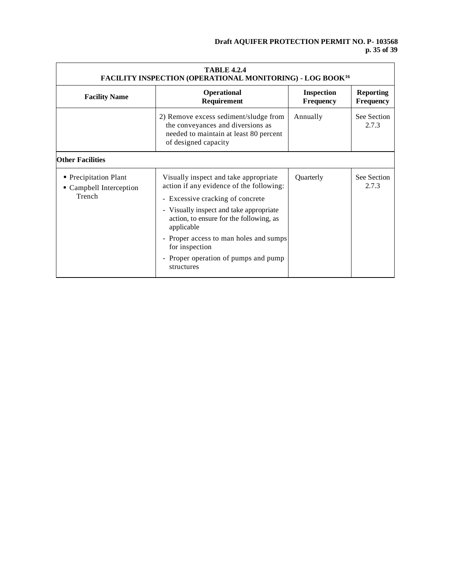| <b>TABLE 4.2.4</b><br><b>FACILITY INSPECTION (OPERATIONAL MONITORING) - LOG BOOK<sup>16</sup></b> |                                                                                                                                              |                                       |                                      |  |
|---------------------------------------------------------------------------------------------------|----------------------------------------------------------------------------------------------------------------------------------------------|---------------------------------------|--------------------------------------|--|
| <b>Facility Name</b>                                                                              | Operational<br>Requirement                                                                                                                   | <b>Inspection</b><br><b>Frequency</b> | <b>Reporting</b><br><b>Frequency</b> |  |
|                                                                                                   | 2) Remove excess sediment/sludge from<br>the conveyances and diversions as<br>needed to maintain at least 80 percent<br>of designed capacity | Annually                              | See Section<br>2.7.3                 |  |
| <b>Other Facilities</b>                                                                           |                                                                                                                                              |                                       |                                      |  |
| • Precipitation Plant<br>• Campbell Interception                                                  | Visually inspect and take appropriate<br>action if any evidence of the following:                                                            |                                       | See Section<br>2.7.3                 |  |
| Trench                                                                                            | - Excessive cracking of concrete                                                                                                             |                                       |                                      |  |
|                                                                                                   | - Visually inspect and take appropriate<br>action, to ensure for the following, as<br>applicable                                             |                                       |                                      |  |
|                                                                                                   | - Proper access to man holes and sumps<br>for inspection                                                                                     |                                       |                                      |  |
|                                                                                                   | - Proper operation of pumps and pump<br>structures                                                                                           |                                       |                                      |  |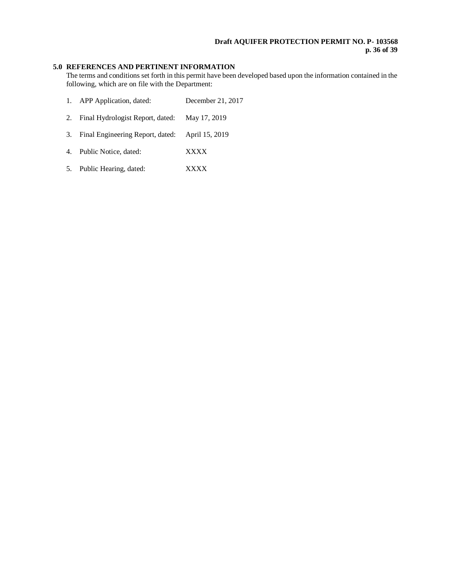# **Draft AQUIFER PROTECTION PERMIT NO. P- 103568 p. 36 of 39**

# **5.0 REFERENCES AND PERTINENT INFORMATION**

The terms and conditions set forth in this permit have been developed based upon the information contained in the following, which are on file with the Department:

| APP Application, dated: | December 21, 2017 |
|-------------------------|-------------------|
|-------------------------|-------------------|

- 2. Final Hydrologist Report, dated: May 17, 2019
- 3. Final Engineering Report, dated: April 15, 2019
- 4. Public Notice, dated: XXXX
- 5. Public Hearing, dated: XXXX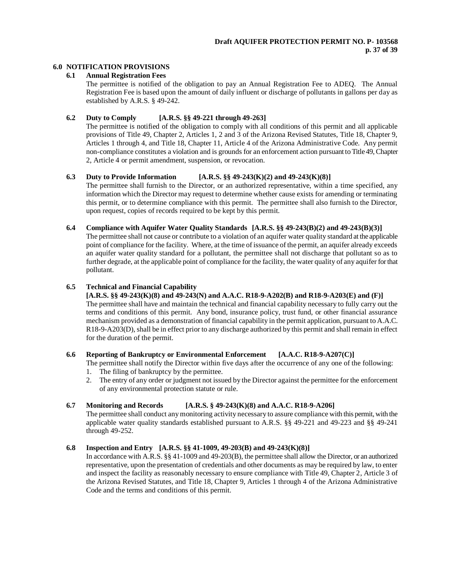# **6.0 NOTIFICATION PROVISIONS**

# **6.1 Annual Registration Fees**

The permittee is notified of the obligation to pay an Annual Registration Fee to ADEQ. The Annual Registration Fee is based upon the amount of daily influent or discharge of pollutants in gallons per day as established by A.R.S. § 49-242.

# **6.2 Duty to Comply [A.R.S. §§ 49-221 through 49-263]**

The permittee is notified of the obligation to comply with all conditions of this permit and all applicable provisions of Title 49, Chapter 2, Articles 1, 2 and 3 of the Arizona Revised Statutes, Title 18, Chapter 9, Articles 1 through 4, and Title 18, Chapter 11, Article 4 of the Arizona Administrative Code. Any permit non-compliance constitutes a violation and is grounds for an enforcement action pursuant to Title 49, Chapter 2, Article 4 or permit amendment, suspension, or revocation.

### **6.3 Duty to Provide Information [A.R.S. §§ 49-243(K)(2) and 49-243(K)(8)]**

The permittee shall furnish to the Director, or an authorized representative, within a time specified, any information which the Director may request to determine whether cause exists for amending or terminating this permit, or to determine compliance with this permit. The permittee shall also furnish to the Director, upon request, copies of records required to be kept by this permit.

# **6.4 Compliance with Aquifer Water Quality Standards [A.R.S. §§ 49-243(B)(2) and 49-243(B)(3)]**

The permittee shall not cause or contribute to a violation of an aquifer water quality standard at the applicable point of compliance for the facility. Where, at the time of issuance of the permit, an aquifer already exceeds an aquifer water quality standard for a pollutant, the permittee shall not discharge that pollutant so as to further degrade, at the applicable point of compliance for the facility, the water quality of any aquifer for that pollutant.

# **6.5 Technical and Financial Capability**

# **[A.R.S. §§ 49-243(K)(8) and 49-243(N) and A.A.C. R18-9-A202(B) and R18-9-A203(E) and (F)]**

The permittee shall have and maintain the technical and financial capability necessary to fully carry out the terms and conditions of this permit. Any bond, insurance policy, trust fund, or other financial assurance mechanism provided as a demonstration of financial capability in the permit application, pursuant to A.A.C. R18-9-A203(D), shall be in effect prior to any discharge authorized by this permit and shall remain in effect for the duration of the permit.

# **6.6 Reporting of Bankruptcy or Environmental Enforcement [A.A.C. R18-9-A207(C)]**

The permittee shall notify the Director within five days after the occurrence of any one of the following:

- 1. The filing of bankruptcy by the permittee.
- 2. The entry of any order or judgment not issued by the Director against the permittee for the enforcement of any environmental protection statute or rule.

# **6.7 Monitoring and Records [A.R.S. § 49-243(K)(8) and A.A.C. R18-9-A206]**

The permittee shall conduct any monitoring activity necessary to assure compliance with this permit, with the applicable water quality standards established pursuant to A.R.S. §§ 49-221 and 49-223 and §§ 49-241 through 49-252.

# **6.8 Inspection and Entry [A.R.S. §§ 41-1009, 49-203(B) and 49-243(K)(8)]**

In accordance with A.R.S. §§ 41-1009 and 49-203(B), the permittee shall allow the Director, or an authorized representative, upon the presentation of credentials and other documents as may be required by law, to enter and inspect the facility as reasonably necessary to ensure compliance with Title 49, Chapter 2, Article 3 of the Arizona Revised Statutes, and Title 18, Chapter 9, Articles 1 through 4 of the Arizona Administrative Code and the terms and conditions of this permit.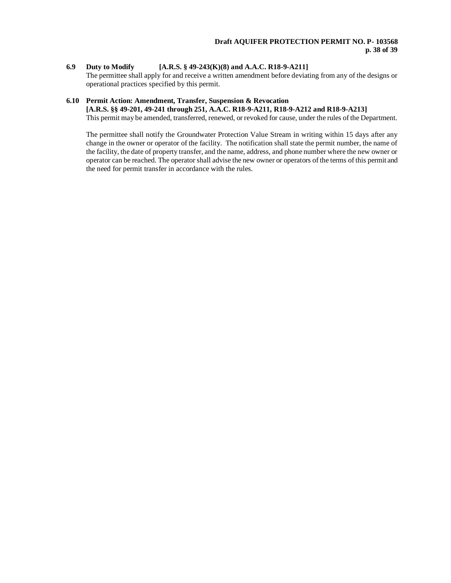# **6.9 Duty to Modify [A.R.S. § 49-243(K)(8) and A.A.C. R18-9-A211]**

The permittee shall apply for and receive a written amendment before deviating from any of the designs or operational practices specified by this permit.

# **6.10 Permit Action: Amendment, Transfer, Suspension & Revocation**

# **[A.R.S. §§ 49-201, 49-241 through 251, A.A.C. R18-9-A211, R18-9-A212 and R18-9-A213]**

This permit may be amended, transferred, renewed, or revoked for cause, under the rules of the Department.

The permittee shall notify the Groundwater Protection Value Stream in writing within 15 days after any change in the owner or operator of the facility. The notification shall state the permit number, the name of the facility, the date of property transfer, and the name, address, and phone number where the new owner or operator can be reached. The operator shall advise the new owner or operators of the terms of this permit and the need for permit transfer in accordance with the rules.